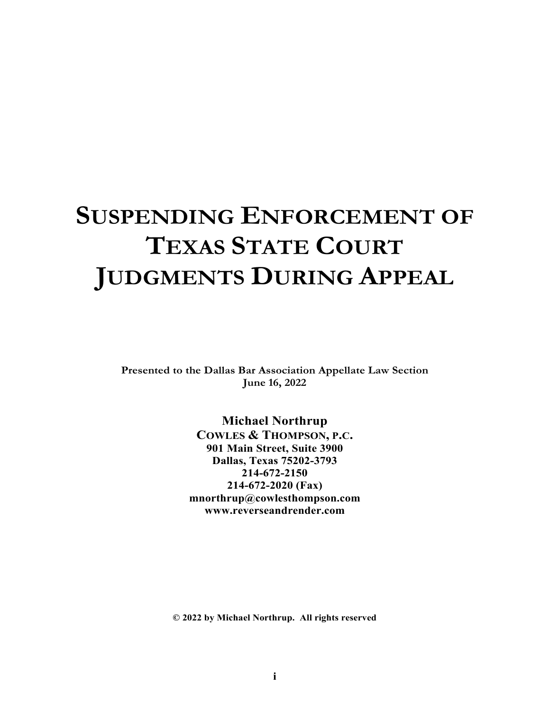# **SUSPENDING ENFORCEMENT OF TEXAS STATE COURT JUDGMENTS DURING APPEAL**

**Presented to the Dallas Bar Association Appellate Law Section June 16, 2022** 

> **Michael Northrup COWLES & THOMPSON, P.C. 901 Main Street, Suite 3900 Dallas, Texas 75202-3793 214-672-2150 214-672-2020 (Fax) mnorthrup@cowlesthompson.com www.reverseandrender.com**

**© 2022 by Michael Northrup. All rights reserved**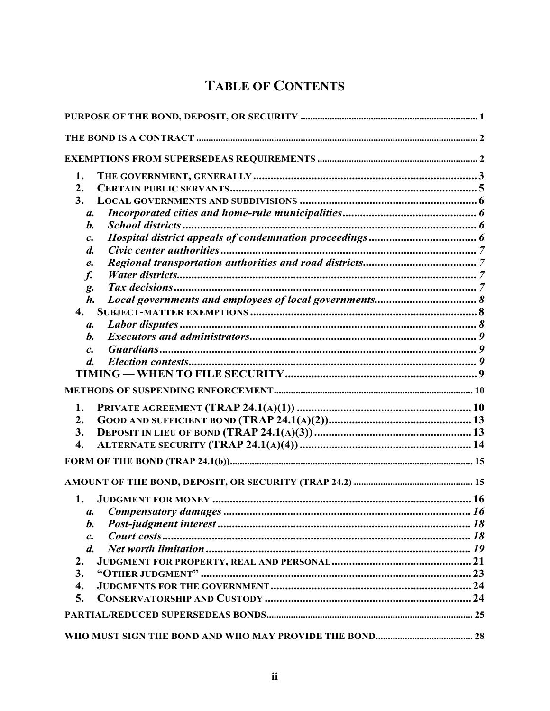# **TABLE OF CONTENTS**

| 1.                       |  |
|--------------------------|--|
| $\overline{2}$ .         |  |
| 3.                       |  |
| $\mathfrak{a}.$          |  |
| b.                       |  |
| $\mathcal{C}$ .          |  |
| $\boldsymbol{d}$ .       |  |
| e.                       |  |
| $f_{\cdot}$              |  |
| g.                       |  |
| $\boldsymbol{h}$ .       |  |
| $\mathbf{4}$ .           |  |
| $\mathfrak{a}.$          |  |
| b.                       |  |
| $\mathcal{C}$ .          |  |
| $\boldsymbol{d}$ .       |  |
|                          |  |
|                          |  |
| 1.                       |  |
| 2.                       |  |
| 3.                       |  |
| $\overline{4}$ .         |  |
|                          |  |
|                          |  |
| 1.                       |  |
| a. Compensatory damages. |  |
| b.                       |  |
| $\mathcal{C}$ .          |  |
| $\boldsymbol{d}$ .       |  |
| 2.                       |  |
| 3.                       |  |
| 4.                       |  |
| 5.                       |  |
|                          |  |
|                          |  |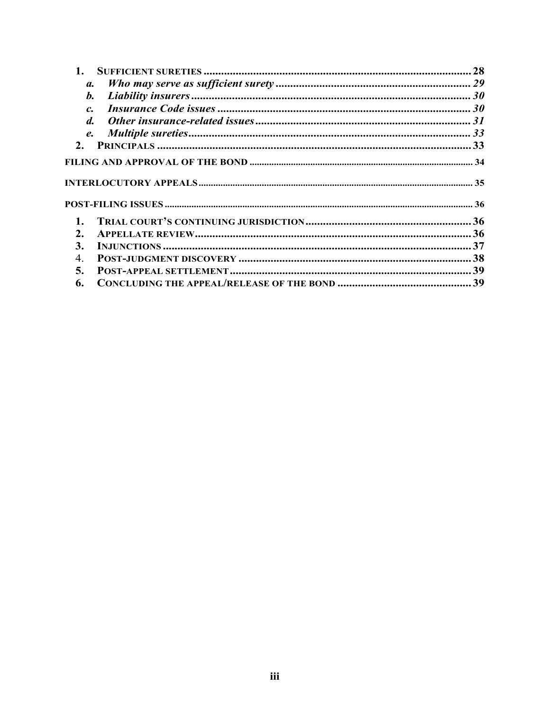| $\mathbf{1}$ .     |  |
|--------------------|--|
| $\mathfrak{a}.$    |  |
| $\mathbf{b}$ .     |  |
| $\mathcal{C}$      |  |
| $\boldsymbol{d}$ . |  |
| $\mathbf{e}$ .     |  |
| 2.                 |  |
|                    |  |
|                    |  |
| $\mathbf{1}$ .     |  |
| 2.                 |  |
| 3.                 |  |
| 4.                 |  |
| 5.                 |  |
| 6.                 |  |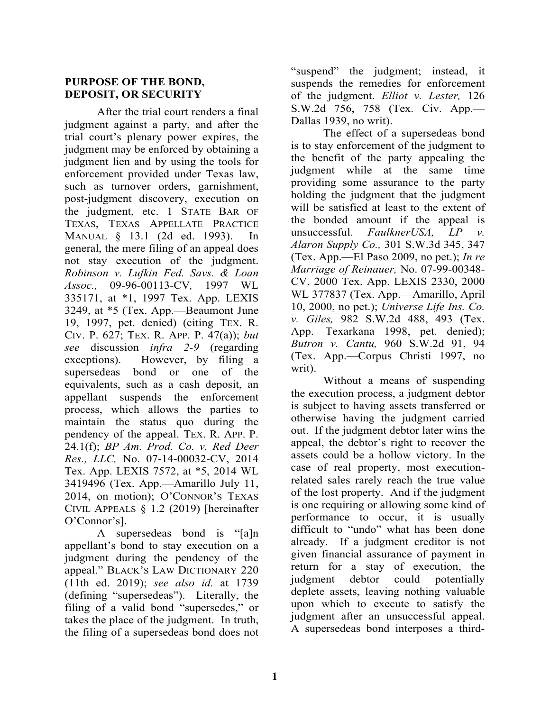#### **PURPOSE OF THE BOND, DEPOSIT, OR SECURITY**

 After the trial court renders a final judgment against a party, and after the trial court's plenary power expires, the judgment may be enforced by obtaining a judgment lien and by using the tools for enforcement provided under Texas law, such as turnover orders, garnishment, post-judgment discovery, execution on the judgment, etc. 1 STATE BAR OF TEXAS, TEXAS APPELLATE PRACTICE MANUAL § 13.1 (2d ed. 1993). In general, the mere filing of an appeal does not stay execution of the judgment. *Robinson v. Lufkin Fed. Savs. & Loan Assoc.,* 09-96-00113-CV*,* 1997 WL 335171, at \*1, 1997 Tex. App. LEXIS 3249, at \*5 (Tex. App.—Beaumont June 19, 1997, pet. denied) (citing TEX. R. CIV. P. 627; TEX. R. APP. P. 47(a)); *but see* discussion *infra 2-9* (regarding exceptions). However, by filing a supersedeas bond or one of the equivalents, such as a cash deposit, an appellant suspends the enforcement process, which allows the parties to maintain the status quo during the pendency of the appeal. TEX. R. APP. P. 24.1(f); *BP Am. Prod. Co. v. Red Deer Res., LLC,* No. 07-14-00032-CV, 2014 Tex. App. LEXIS 7572, at \*5, 2014 WL 3419496 (Tex. App.—Amarillo July 11, 2014, on motion); O'CONNOR'S TEXAS CIVIL APPEALS § 1.2 (2019) [hereinafter O'Connor's].

 A supersedeas bond is "[a]n appellant's bond to stay execution on a judgment during the pendency of the appeal." BLACK'S LAW DICTIONARY 220 (11th ed. 2019); *see also id.* at 1739 (defining "supersedeas"). Literally, the filing of a valid bond "supersedes," or takes the place of the judgment. In truth, the filing of a supersedeas bond does not "suspend" the judgment; instead, it suspends the remedies for enforcement of the judgment. *Elliot v. Lester,* 126 S.W.2d 756, 758 (Tex. Civ. App.— Dallas 1939, no writ).

 The effect of a supersedeas bond is to stay enforcement of the judgment to the benefit of the party appealing the judgment while at the same time providing some assurance to the party holding the judgment that the judgment will be satisfied at least to the extent of the bonded amount if the appeal is unsuccessful. *FaulknerUSA, LP v. Alaron Supply Co.,* 301 S.W.3d 345, 347 (Tex. App.—El Paso 2009, no pet.); *In re Marriage of Reinauer,* No. 07-99-00348- CV, 2000 Tex. App. LEXIS 2330, 2000 WL 377837 (Tex. App.—Amarillo, April 10, 2000, no pet.); *Universe Life Ins. Co. v. Giles,* 982 S.W.2d 488, 493 (Tex. App.—Texarkana 1998, pet. denied); *Butron v. Cantu,* 960 S.W.2d 91, 94 (Tex. App.—Corpus Christi 1997, no writ).

Without a means of suspending the execution process, a judgment debtor is subject to having assets transferred or otherwise having the judgment carried out. If the judgment debtor later wins the appeal, the debtor's right to recover the assets could be a hollow victory. In the case of real property, most executionrelated sales rarely reach the true value of the lost property. And if the judgment is one requiring or allowing some kind of performance to occur, it is usually difficult to "undo" what has been done already. If a judgment creditor is not given financial assurance of payment in return for a stay of execution, the judgment debtor could potentially deplete assets, leaving nothing valuable upon which to execute to satisfy the judgment after an unsuccessful appeal. A supersedeas bond interposes a third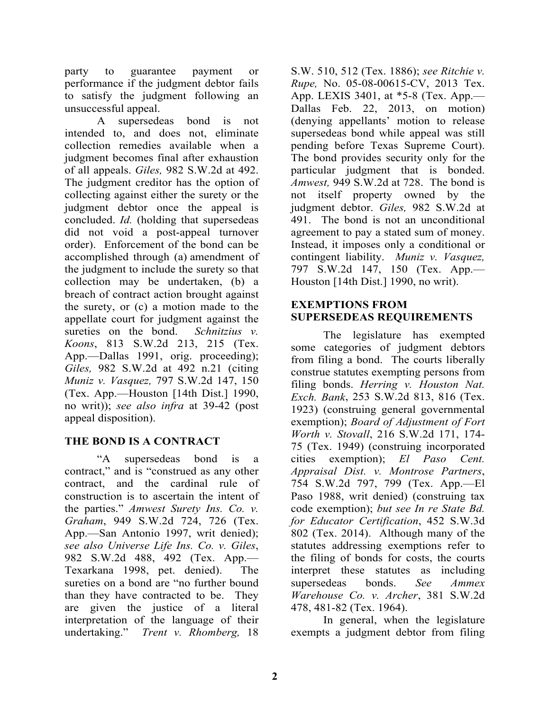party to guarantee payment or performance if the judgment debtor fails to satisfy the judgment following an unsuccessful appeal.

 A supersedeas bond is not intended to, and does not, eliminate collection remedies available when a judgment becomes final after exhaustion of all appeals. *Giles,* 982 S.W.2d at 492. The judgment creditor has the option of collecting against either the surety or the judgment debtor once the appeal is concluded. *Id.* (holding that supersedeas did not void a post-appeal turnover order). Enforcement of the bond can be accomplished through (a) amendment of the judgment to include the surety so that collection may be undertaken, (b) a breach of contract action brought against the surety, or (c) a motion made to the appellate court for judgment against the sureties on the bond. *Schnitzius v. Koons*, 813 S.W.2d 213, 215 (Tex. App.—Dallas 1991, orig. proceeding); *Giles,* 982 S.W.2d at 492 n.21 (citing *Muniz v. Vasquez,* 797 S.W.2d 147, 150 (Tex. App.—Houston [14th Dist.] 1990, no writ)); *see also infra* at 39-42 (post appeal disposition).

# **THE BOND IS A CONTRACT**

 "A supersedeas bond is a contract," and is "construed as any other contract, and the cardinal rule of construction is to ascertain the intent of the parties." *Amwest Surety Ins. Co. v. Graham*, 949 S.W.2d 724, 726 (Tex. App.—San Antonio 1997, writ denied); *see also Universe Life Ins. Co. v. Giles*, 982 S.W.2d 488, 492 (Tex. App.— Texarkana 1998, pet. denied). The sureties on a bond are "no further bound than they have contracted to be. They are given the justice of a literal interpretation of the language of their undertaking." *Trent v. Rhomberg,* 18

S.W. 510, 512 (Tex. 1886); *see Ritchie v. Rupe,* No. 05-08-00615-CV, 2013 Tex. App. LEXIS 3401, at \*5-8 (Tex. App.— Dallas Feb. 22, 2013, on motion) (denying appellants' motion to release supersedeas bond while appeal was still pending before Texas Supreme Court). The bond provides security only for the particular judgment that is bonded. *Amwest,* 949 S.W.2d at 728. The bond is not itself property owned by the judgment debtor. *Giles,* 982 S.W.2d at 491. The bond is not an unconditional agreement to pay a stated sum of money. Instead, it imposes only a conditional or contingent liability. *Muniz v. Vasquez,*  797 S.W.2d 147, 150 (Tex. App.— Houston [14th Dist.] 1990, no writ).

# **EXEMPTIONS FROM SUPERSEDEAS REQUIREMENTS**

 The legislature has exempted some categories of judgment debtors from filing a bond. The courts liberally construe statutes exempting persons from filing bonds. *Herring v. Houston Nat. Exch. Bank*, 253 S.W.2d 813, 816 (Tex. 1923) (construing general governmental exemption); *Board of Adjustment of Fort Worth v. Stovall*, 216 S.W.2d 171, 174- 75 (Tex. 1949) (construing incorporated cities exemption); *El Paso Cent. Appraisal Dist. v. Montrose Partners*, 754 S.W.2d 797, 799 (Tex. App.—El Paso 1988, writ denied) (construing tax code exemption); *but see In re State Bd. for Educator Certification*, 452 S.W.3d 802 (Tex. 2014). Although many of the statutes addressing exemptions refer to the filing of bonds for costs, the courts interpret these statutes as including supersedeas bonds. *See Ammex Warehouse Co. v. Archer*, 381 S.W.2d 478, 481-82 (Tex. 1964).

 In general, when the legislature exempts a judgment debtor from filing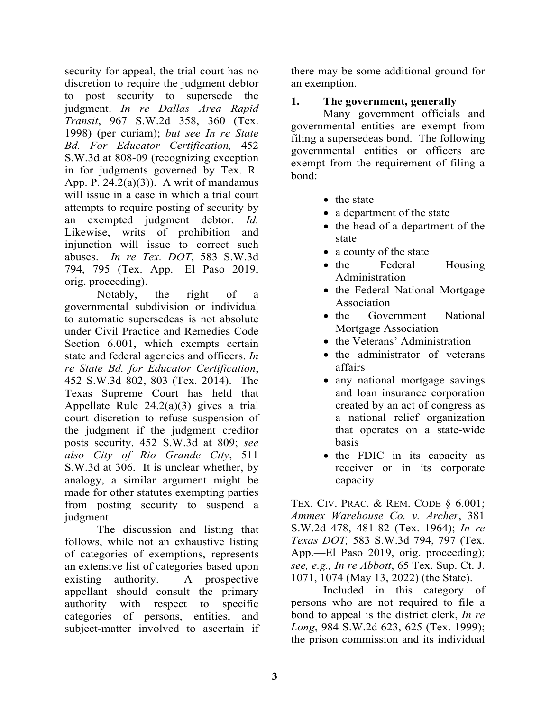security for appeal, the trial court has no discretion to require the judgment debtor to post security to supersede the judgment. *In re Dallas Area Rapid Transit*, 967 S.W.2d 358, 360 (Tex. 1998) (per curiam); *but see In re State Bd. For Educator Certification,* 452 S.W.3d at 808-09 (recognizing exception in for judgments governed by Tex. R. App. P.  $24.2(a)(3)$ ). A writ of mandamus will issue in a case in which a trial court attempts to require posting of security by an exempted judgment debtor. *Id.* Likewise, writs of prohibition and injunction will issue to correct such abuses. *In re Tex. DOT*, 583 S.W.3d 794, 795 (Tex. App.—El Paso 2019, orig. proceeding).

 Notably, the right of a governmental subdivision or individual to automatic supersedeas is not absolute under Civil Practice and Remedies Code Section 6.001, which exempts certain state and federal agencies and officers. *In re State Bd. for Educator Certification*, 452 S.W.3d 802, 803 (Tex. 2014). The Texas Supreme Court has held that Appellate Rule 24.2(a)(3) gives a trial court discretion to refuse suspension of the judgment if the judgment creditor posts security. 452 S.W.3d at 809; *see also City of Rio Grande City*, 511 S.W.3d at 306. It is unclear whether, by analogy, a similar argument might be made for other statutes exempting parties from posting security to suspend a judgment.

 The discussion and listing that follows, while not an exhaustive listing of categories of exemptions, represents an extensive list of categories based upon existing authority. A prospective appellant should consult the primary authority with respect to specific categories of persons, entities, and subject-matter involved to ascertain if there may be some additional ground for an exemption.

# **1. The government, generally**

 Many government officials and governmental entities are exempt from filing a supersedeas bond. The following governmental entities or officers are exempt from the requirement of filing a bond:

- the state
- a department of the state
- the head of a department of the state
- a county of the state
- the Federal Housing Administration
- the Federal National Mortgage Association
- the Government National Mortgage Association
- the Veterans' Administration
- the administrator of veterans affairs
- any national mortgage savings and loan insurance corporation created by an act of congress as a national relief organization that operates on a state-wide basis
- the FDIC in its capacity as receiver or in its corporate capacity

TEX. CIV. PRAC. & REM. CODE § 6.001; *Ammex Warehouse Co. v. Archer*, 381 S.W.2d 478, 481-82 (Tex. 1964); *In re Texas DOT,* 583 S.W.3d 794, 797 (Tex. App.—El Paso 2019, orig. proceeding); *see, e.g., In re Abbott*, 65 Tex. Sup. Ct. J. 1071, 1074 (May 13, 2022) (the State).

 Included in this category of persons who are not required to file a bond to appeal is the district clerk, *In re Long*, 984 S.W.2d 623, 625 (Tex. 1999); the prison commission and its individual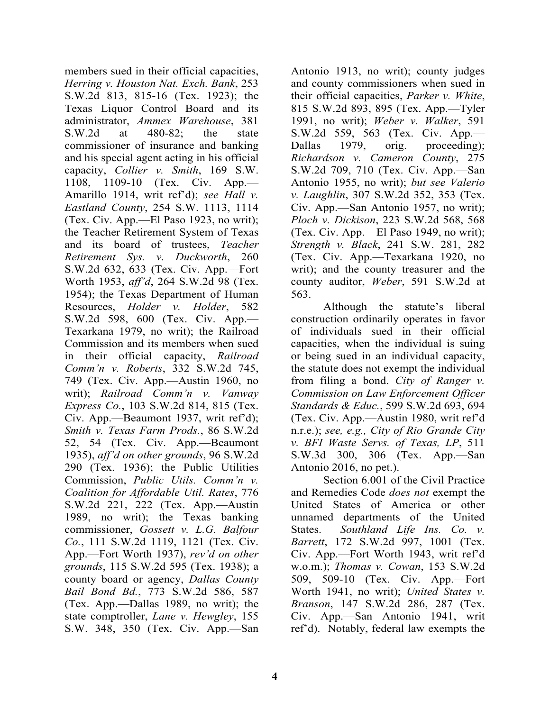members sued in their official capacities, *Herring v. Houston Nat. Exch. Bank*, 253 S.W.2d 813, 815-16 (Tex. 1923); the Texas Liquor Control Board and its administrator, *Ammex Warehouse*, 381 S.W.2d at 480-82; the state commissioner of insurance and banking and his special agent acting in his official capacity, *Collier v. Smith*, 169 S.W. 1108, 1109-10 (Tex. Civ. App.— Amarillo 1914, writ ref'd); *see Hall v. Eastland County*, 254 S.W. 1113, 1114 (Tex. Civ. App.—El Paso 1923, no writ); the Teacher Retirement System of Texas and its board of trustees, *Teacher Retirement Sys. v. Duckworth*, 260 S.W.2d 632, 633 (Tex. Civ. App.—Fort Worth 1953, *aff'd*, 264 S.W.2d 98 (Tex. 1954); the Texas Department of Human Resources, *Holder v. Holder*, 582 S.W.2d 598, 600 (Tex. Civ. App.— Texarkana 1979, no writ); the Railroad Commission and its members when sued in their official capacity, *Railroad Comm'n v. Roberts*, 332 S.W.2d 745, 749 (Tex. Civ. App.—Austin 1960, no writ); *Railroad Comm'n v. Vanway Express Co.*, 103 S.W.2d 814, 815 (Tex. Civ. App.—Beaumont 1937, writ ref'd); *Smith v. Texas Farm Prods.*, 86 S.W.2d 52, 54 (Tex. Civ. App.—Beaumont 1935), *aff'd on other grounds*, 96 S.W.2d 290 (Tex. 1936); the Public Utilities Commission, *Public Utils. Comm'n v. Coalition for Affordable Util. Rates*, 776 S.W.2d 221, 222 (Tex. App.—Austin 1989, no writ); the Texas banking commissioner, *Gossett v. L.G. Balfour Co.*, 111 S.W.2d 1119, 1121 (Tex. Civ. App.—Fort Worth 1937), *rev'd on other grounds*, 115 S.W.2d 595 (Tex. 1938); a county board or agency, *Dallas County Bail Bond Bd.*, 773 S.W.2d 586, 587 (Tex. App.—Dallas 1989, no writ); the state comptroller, *Lane v. Hewgley*, 155 S.W. 348, 350 (Tex. Civ. App.—San

Antonio 1913, no writ); county judges and county commissioners when sued in their official capacities, *Parker v. White*, 815 S.W.2d 893, 895 (Tex. App.—Tyler 1991, no writ); *Weber v. Walker*, 591 S.W.2d 559, 563 (Tex. Civ. App.— Dallas 1979, orig. proceeding); *Richardson v. Cameron County*, 275 S.W.2d 709, 710 (Tex. Civ. App.—San Antonio 1955, no writ); *but see Valerio v. Laughlin*, 307 S.W.2d 352, 353 (Tex. Civ. App.—San Antonio 1957, no writ); *Ploch v. Dickison*, 223 S.W.2d 568, 568 (Tex. Civ. App.—El Paso 1949, no writ); *Strength v. Black*, 241 S.W. 281, 282 (Tex. Civ. App.—Texarkana 1920, no writ); and the county treasurer and the county auditor, *Weber*, 591 S.W.2d at 563.

 Although the statute's liberal construction ordinarily operates in favor of individuals sued in their official capacities, when the individual is suing or being sued in an individual capacity, the statute does not exempt the individual from filing a bond. *City of Ranger v. Commission on Law Enforcement Officer Standards & Educ.*, 599 S.W.2d 693, 694 (Tex. Civ. App.—Austin 1980, writ ref'd n.r.e.); *see, e.g., City of Rio Grande City v. BFI Waste Servs. of Texas, LP*, 511 S.W.3d 300, 306 (Tex. App.—San Antonio 2016, no pet.).

 Section 6.001 of the Civil Practice and Remedies Code *does not* exempt the United States of America or other unnamed departments of the United States. *Southland Life Ins. Co. v. Barrett*, 172 S.W.2d 997, 1001 (Tex. Civ. App.—Fort Worth 1943, writ ref'd w.o.m.); *Thomas v. Cowan*, 153 S.W.2d 509, 509-10 (Tex. Civ. App.—Fort Worth 1941, no writ); *United States v. Branson*, 147 S.W.2d 286, 287 (Tex. Civ. App.—San Antonio 1941, writ ref'd). Notably, federal law exempts the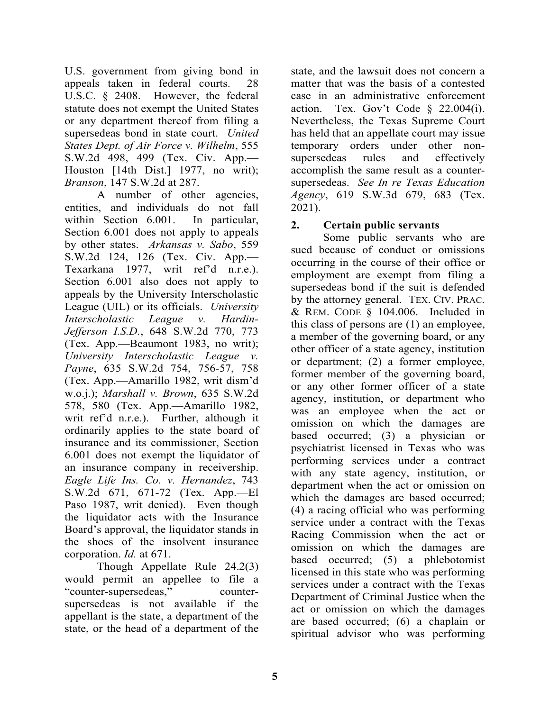U.S. government from giving bond in appeals taken in federal courts. 28 U.S.C. § 2408. However, the federal statute does not exempt the United States or any department thereof from filing a supersedeas bond in state court. *United States Dept. of Air Force v. Wilhelm*, 555 S.W.2d 498, 499 (Tex. Civ. App.— Houston [14th Dist.] 1977, no writ); *Branson*, 147 S.W.2d at 287.

 A number of other agencies, entities, and individuals do not fall within Section 6.001. In particular, Section 6.001 does not apply to appeals by other states. *Arkansas v. Sabo*, 559 S.W.2d 124, 126 (Tex. Civ. App.— Texarkana 1977, writ ref'd n.r.e.). Section 6.001 also does not apply to appeals by the University Interscholastic League (UIL) or its officials. *University Interscholastic League v. Hardin-Jefferson I.S.D.*, 648 S.W.2d 770, 773 (Tex. App.—Beaumont 1983, no writ); *University Interscholastic League v. Payne*, 635 S.W.2d 754, 756-57, 758 (Tex. App.—Amarillo 1982, writ dism'd w.o.j.); *Marshall v. Brown*, 635 S.W.2d 578, 580 (Tex. App.—Amarillo 1982, writ ref'd n.r.e.). Further, although it ordinarily applies to the state board of insurance and its commissioner, Section 6.001 does not exempt the liquidator of an insurance company in receivership. *Eagle Life Ins. Co. v. Hernandez*, 743 S.W.2d 671, 671-72 (Tex. App.—El Paso 1987, writ denied). Even though the liquidator acts with the Insurance Board's approval, the liquidator stands in the shoes of the insolvent insurance corporation. *Id.* at 671.

 Though Appellate Rule 24.2(3) would permit an appellee to file a "counter-supersedeas," countersupersedeas is not available if the appellant is the state, a department of the state, or the head of a department of the

state, and the lawsuit does not concern a matter that was the basis of a contested case in an administrative enforcement action. Tex. Gov't Code  $\S$  22.004(i). Nevertheless, the Texas Supreme Court has held that an appellate court may issue temporary orders under other nonsupersedeas rules and effectively accomplish the same result as a countersupersedeas. *See In re Texas Education Agency*, 619 S.W.3d 679, 683 (Tex. 2021).

#### **2. Certain public servants**

 Some public servants who are sued because of conduct or omissions occurring in the course of their office or employment are exempt from filing a supersedeas bond if the suit is defended by the attorney general. TEX. CIV. PRAC. & REM. CODE § 104.006. Included in this class of persons are (1) an employee, a member of the governing board, or any other officer of a state agency, institution or department; (2) a former employee, former member of the governing board, or any other former officer of a state agency, institution, or department who was an employee when the act or omission on which the damages are based occurred; (3) a physician or psychiatrist licensed in Texas who was performing services under a contract with any state agency, institution, or department when the act or omission on which the damages are based occurred; (4) a racing official who was performing service under a contract with the Texas Racing Commission when the act or omission on which the damages are based occurred; (5) a phlebotomist licensed in this state who was performing services under a contract with the Texas Department of Criminal Justice when the act or omission on which the damages are based occurred; (6) a chaplain or spiritual advisor who was performing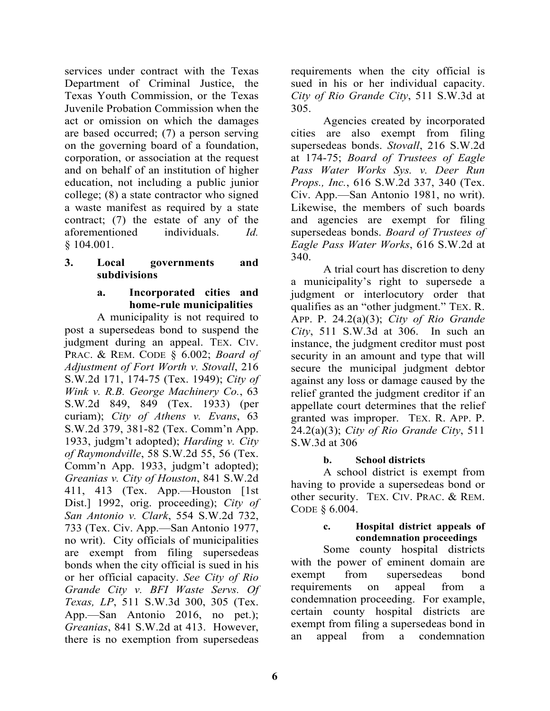services under contract with the Texas Department of Criminal Justice, the Texas Youth Commission, or the Texas Juvenile Probation Commission when the act or omission on which the damages are based occurred; (7) a person serving on the governing board of a foundation, corporation, or association at the request and on behalf of an institution of higher education, not including a public junior college; (8) a state contractor who signed a waste manifest as required by a state contract; (7) the estate of any of the aforementioned individuals. *Id.* § 104.001.

#### **3. Local governments and subdivisions**

#### **a. Incorporated cities and home-rule municipalities**

A municipality is not required to post a supersedeas bond to suspend the judgment during an appeal. TEX. CIV. PRAC. & REM. CODE § 6.002; *Board of Adjustment of Fort Worth v. Stovall*, 216 S.W.2d 171, 174-75 (Tex. 1949); *City of Wink v. R.B. George Machinery Co.*, 63 S.W.2d 849, 849 (Tex. 1933) (per curiam); *City of Athens v. Evans*, 63 S.W.2d 379, 381-82 (Tex. Comm'n App. 1933, judgm't adopted); *Harding v. City of Raymondville*, 58 S.W.2d 55, 56 (Tex. Comm'n App. 1933, judgm't adopted); *Greanias v. City of Houston*, 841 S.W.2d 411, 413 (Tex. App.—Houston [1st Dist.] 1992, orig. proceeding); *City of San Antonio v. Clark*, 554 S.W.2d 732, 733 (Tex. Civ. App.—San Antonio 1977, no writ). City officials of municipalities are exempt from filing supersedeas bonds when the city official is sued in his or her official capacity. *See City of Rio Grande City v. BFI Waste Servs. Of Texas, LP*, 511 S.W.3d 300, 305 (Tex. App.—San Antonio 2016, no pet.); *Greanias*, 841 S.W.2d at 413. However, there is no exemption from supersedeas

requirements when the city official is sued in his or her individual capacity. *City of Rio Grande City*, 511 S.W.3d at 305.

 Agencies created by incorporated cities are also exempt from filing supersedeas bonds. *Stovall*, 216 S.W.2d at 174-75; *Board of Trustees of Eagle Pass Water Works Sys. v. Deer Run Props., Inc.*, 616 S.W.2d 337, 340 (Tex. Civ. App.—San Antonio 1981, no writ). Likewise, the members of such boards and agencies are exempt for filing supersedeas bonds. *Board of Trustees of Eagle Pass Water Works*, 616 S.W.2d at 340.

 A trial court has discretion to deny a municipality's right to supersede a judgment or interlocutory order that qualifies as an "other judgment." TEX. R. APP. P. 24.2(a)(3); *City of Rio Grande City*, 511 S.W.3d at 306. In such an instance, the judgment creditor must post security in an amount and type that will secure the municipal judgment debtor against any loss or damage caused by the relief granted the judgment creditor if an appellate court determines that the relief granted was improper. TEX. R. APP. P. 24.2(a)(3); *City of Rio Grande City*, 511 S.W.3d at 306

# **b. School districts**

 A school district is exempt from having to provide a supersedeas bond or other security. TEX. CIV. PRAC. & REM. CODE § 6.004.

#### **c. Hospital district appeals of condemnation proceedings**

Some county hospital districts with the power of eminent domain are exempt from supersedeas bond requirements on appeal from a condemnation proceeding. For example, certain county hospital districts are exempt from filing a supersedeas bond in an appeal from a condemnation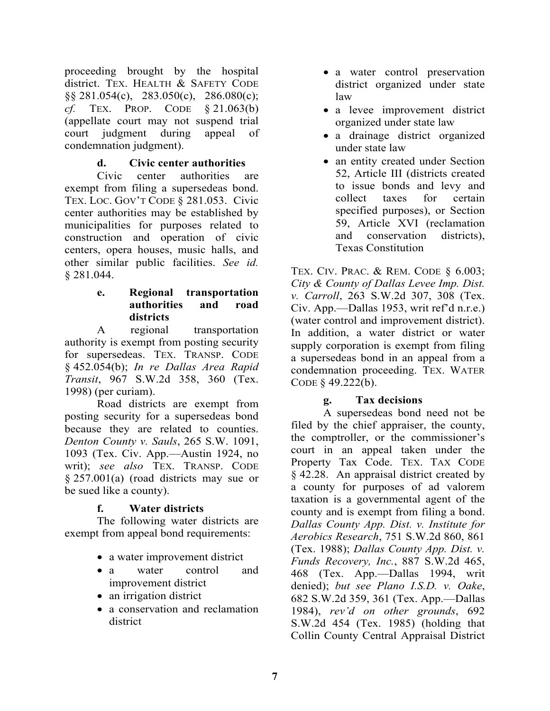proceeding brought by the hospital district. TEX. HEALTH & SAFETY CODE §§ 281.054(c), 283.050(c), 286.080(c); *cf.* TEX. PROP. CODE § 21.063(b) (appellate court may not suspend trial court judgment during appeal of condemnation judgment).

# **d. Civic center authorities**

 Civic center authorities are exempt from filing a supersedeas bond. TEX. LOC. GOV'T CODE § 281.053. Civic center authorities may be established by municipalities for purposes related to construction and operation of civic centers, opera houses, music halls, and other similar public facilities. *See id.* § 281.044.

#### **e. Regional transportation authorities and road districts**

 A regional transportation authority is exempt from posting security for supersedeas. TEX. TRANSP. CODE § 452.054(b); *In re Dallas Area Rapid Transit*, 967 S.W.2d 358, 360 (Tex. 1998) (per curiam).

 Road districts are exempt from posting security for a supersedeas bond because they are related to counties. *Denton County v. Sauls*, 265 S.W. 1091, 1093 (Tex. Civ. App.—Austin 1924, no writ); *see also* TEX. TRANSP. CODE § 257.001(a) (road districts may sue or be sued like a county).

#### **f. Water districts**

 The following water districts are exempt from appeal bond requirements:

- a water improvement district
- a water control and improvement district
- an irrigation district
- a conservation and reclamation district
- a water control preservation district organized under state law
- a levee improvement district organized under state law
- a drainage district organized under state law
- an entity created under Section 52, Article III (districts created to issue bonds and levy and collect taxes for certain specified purposes), or Section 59, Article XVI (reclamation and conservation districts), Texas Constitution

TEX. CIV. PRAC. & REM. CODE § 6.003; *City & County of Dallas Levee Imp. Dist. v. Carroll*, 263 S.W.2d 307, 308 (Tex. Civ. App.—Dallas 1953, writ ref'd n.r.e.) (water control and improvement district). In addition, a water district or water supply corporation is exempt from filing a supersedeas bond in an appeal from a condemnation proceeding. TEX. WATER CODE § 49.222(b).

#### **g. Tax decisions**

 A supersedeas bond need not be filed by the chief appraiser, the county, the comptroller, or the commissioner's court in an appeal taken under the Property Tax Code. TEX. TAX CODE § 42.28. An appraisal district created by a county for purposes of ad valorem taxation is a governmental agent of the county and is exempt from filing a bond. *Dallas County App. Dist. v. Institute for Aerobics Research*, 751 S.W.2d 860, 861 (Tex. 1988); *Dallas County App. Dist. v. Funds Recovery, Inc.*, 887 S.W.2d 465, 468 (Tex. App.—Dallas 1994, writ denied); *but see Plano I.S.D. v. Oake*, 682 S.W.2d 359, 361 (Tex. App.—Dallas 1984), *rev'd on other grounds*, 692 S.W.2d 454 (Tex. 1985) (holding that Collin County Central Appraisal District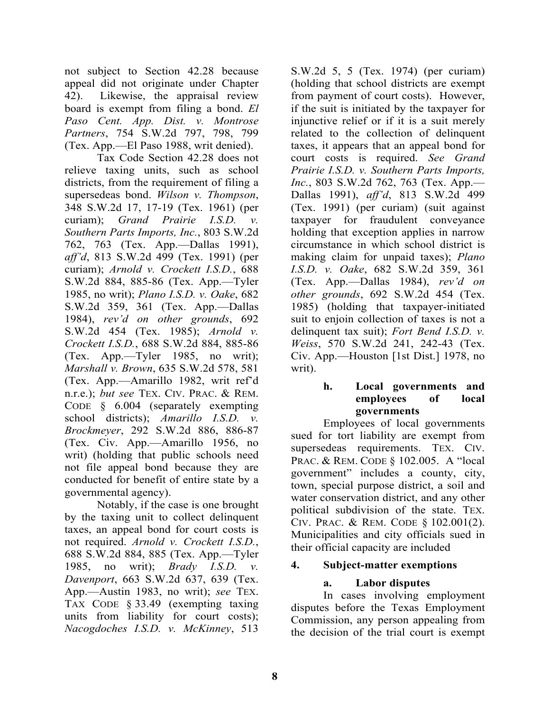not subject to Section 42.28 because appeal did not originate under Chapter 42). Likewise, the appraisal review board is exempt from filing a bond. *El Paso Cent. App. Dist. v. Montrose Partners*, 754 S.W.2d 797, 798, 799 (Tex. App.—El Paso 1988, writ denied).

 Tax Code Section 42.28 does not relieve taxing units, such as school districts, from the requirement of filing a supersedeas bond. *Wilson v. Thompson*, 348 S.W.2d 17, 17-19 (Tex. 1961) (per curiam); *Grand Prairie I.S.D. v. Southern Parts Imports, Inc.*, 803 S.W.2d 762, 763 (Tex. App.—Dallas 1991), *aff'd*, 813 S.W.2d 499 (Tex. 1991) (per curiam); *Arnold v. Crockett I.S.D.*, 688 S.W.2d 884, 885-86 (Tex. App.—Tyler 1985, no writ); *Plano I.S.D. v. Oake*, 682 S.W.2d 359, 361 (Tex. App.—Dallas 1984), *rev'd on other grounds*, 692 S.W.2d 454 (Tex. 1985); *Arnold v. Crockett I.S.D.*, 688 S.W.2d 884, 885-86 (Tex. App.—Tyler 1985, no writ); *Marshall v. Brown*, 635 S.W.2d 578, 581 (Tex. App.—Amarillo 1982, writ ref'd n.r.e.); *but see* TEX. CIV. PRAC. & REM. CODE § 6.004 (separately exempting school districts); *Amarillo I.S.D. v. Brockmeyer*, 292 S.W.2d 886, 886-87 (Tex. Civ. App.—Amarillo 1956, no writ) (holding that public schools need not file appeal bond because they are conducted for benefit of entire state by a governmental agency).

 Notably, if the case is one brought by the taxing unit to collect delinquent taxes, an appeal bond for court costs is not required. *Arnold v. Crockett I.S.D.*, 688 S.W.2d 884, 885 (Tex. App.—Tyler 1985, no writ); *Brady I.S.D. v. Davenport*, 663 S.W.2d 637, 639 (Tex. App.—Austin 1983, no writ); *see* TEX. TAX CODE § 33.49 (exempting taxing units from liability for court costs); *Nacogdoches I.S.D. v. McKinney*, 513

S.W.2d 5, 5 (Tex. 1974) (per curiam) (holding that school districts are exempt from payment of court costs). However, if the suit is initiated by the taxpayer for injunctive relief or if it is a suit merely related to the collection of delinquent taxes, it appears that an appeal bond for court costs is required. *See Grand Prairie I.S.D. v. Southern Parts Imports, Inc.*, 803 S.W.2d 762, 763 (Tex. App.— Dallas 1991), *aff'd*, 813 S.W.2d 499 (Tex. 1991) (per curiam) (suit against taxpayer for fraudulent conveyance holding that exception applies in narrow circumstance in which school district is making claim for unpaid taxes); *Plano I.S.D. v. Oake*, 682 S.W.2d 359, 361 (Tex. App.—Dallas 1984), *rev'd on other grounds*, 692 S.W.2d 454 (Tex. 1985) (holding that taxpayer-initiated suit to enjoin collection of taxes is not a delinquent tax suit); *Fort Bend I.S.D. v. Weiss*, 570 S.W.2d 241, 242-43 (Tex. Civ. App.—Houston [1st Dist.] 1978, no writ).

#### **h. Local governments and employees of local governments**

 Employees of local governments sued for tort liability are exempt from supersedeas requirements. TEX. CIV. PRAC. & REM. CODE § 102.005. A "local government" includes a county, city, town, special purpose district, a soil and water conservation district, and any other political subdivision of the state. TEX. CIV. PRAC. & REM. CODE § 102.001(2). Municipalities and city officials sued in their official capacity are included

#### **4. Subject-matter exemptions**

# **a. Labor disputes**

 In cases involving employment disputes before the Texas Employment Commission, any person appealing from the decision of the trial court is exempt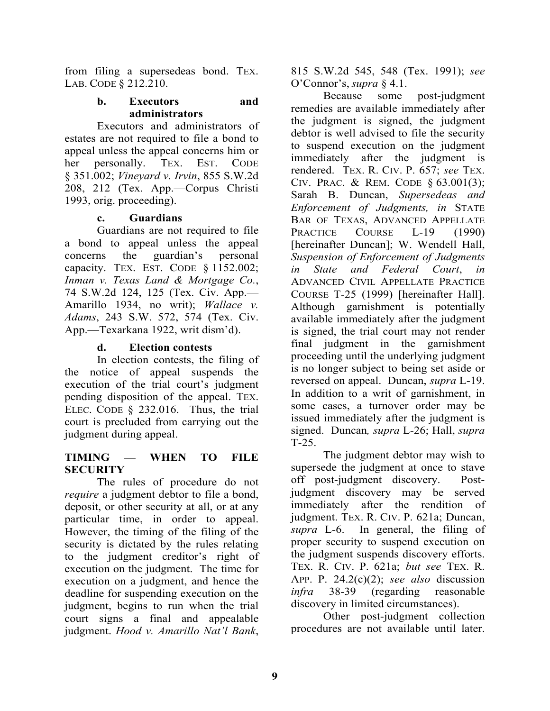from filing a supersedeas bond. TEX. LAB. CODE § 212.210.

#### **b. Executors and administrators**

 Executors and administrators of estates are not required to file a bond to appeal unless the appeal concerns him or her personally. TEX. EST. CODE § 351.002; *Vineyard v. Irvin*, 855 S.W.2d 208, 212 (Tex. App.—Corpus Christi 1993, orig. proceeding).

#### **c. Guardians**

 Guardians are not required to file a bond to appeal unless the appeal concerns the guardian's personal capacity. TEX. EST. CODE § 1152.002; *Inman v. Texas Land & Mortgage Co.*, 74 S.W.2d 124, 125 (Tex. Civ. App.— Amarillo 1934, no writ); *Wallace v. Adams*, 243 S.W. 572, 574 (Tex. Civ. App.—Texarkana 1922, writ dism'd).

# **d. Election contests**

 In election contests, the filing of the notice of appeal suspends the execution of the trial court's judgment pending disposition of the appeal. TEX. ELEC. CODE § 232.016. Thus, the trial court is precluded from carrying out the judgment during appeal.

# **TIMING — WHEN TO FILE SECURITY**

 The rules of procedure do not *require* a judgment debtor to file a bond, deposit, or other security at all, or at any particular time, in order to appeal. However, the timing of the filing of the security is dictated by the rules relating to the judgment creditor's right of execution on the judgment. The time for execution on a judgment, and hence the deadline for suspending execution on the judgment, begins to run when the trial court signs a final and appealable judgment. *Hood v. Amarillo Nat'l Bank*,

815 S.W.2d 545, 548 (Tex. 1991); *see*  O'Connor's, *supra* § 4.1.

 Because some post-judgment remedies are available immediately after the judgment is signed, the judgment debtor is well advised to file the security to suspend execution on the judgment immediately after the judgment is rendered. TEX. R. CIV. P. 657; *see* TEX. CIV. PRAC. & REM. CODE § 63.001(3); Sarah B. Duncan, *Supersedeas and Enforcement of Judgments, in* STATE BAR OF TEXAS, ADVANCED APPELLATE PRACTICE COURSE L-19 (1990) [hereinafter Duncan]; W. Wendell Hall, *Suspension of Enforcement of Judgments in State and Federal Court*, *in* ADVANCED CIVIL APPELLATE PRACTICE COURSE T-25 (1999) [hereinafter Hall]. Although garnishment is potentially available immediately after the judgment is signed, the trial court may not render final judgment in the garnishment proceeding until the underlying judgment is no longer subject to being set aside or reversed on appeal. Duncan, *supra* L-19. In addition to a writ of garnishment, in some cases, a turnover order may be issued immediately after the judgment is signed. Duncan*, supra* L-26; Hall, *supra* T-25.

 The judgment debtor may wish to supersede the judgment at once to stave off post-judgment discovery. Postjudgment discovery may be served immediately after the rendition of judgment. TEX. R. CIV. P. 621a; Duncan, *supra* L-6. In general, the filing of proper security to suspend execution on the judgment suspends discovery efforts. TEX. R. CIV. P. 621a; *but see* TEX. R. APP. P. 24.2(c)(2); *see also* discussion *infra* 38-39 (regarding reasonable discovery in limited circumstances).

 Other post-judgment collection procedures are not available until later.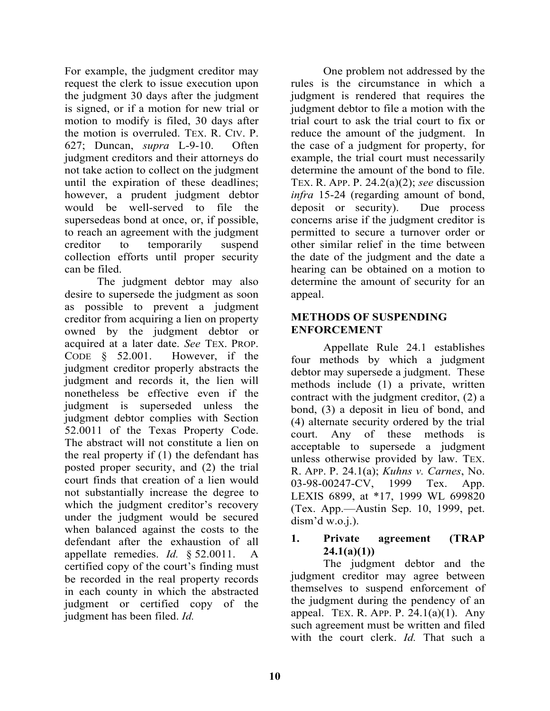For example, the judgment creditor may request the clerk to issue execution upon the judgment 30 days after the judgment is signed, or if a motion for new trial or motion to modify is filed, 30 days after the motion is overruled. TEX. R. CIV. P. 627; Duncan, *supra* L-9-10. Often judgment creditors and their attorneys do not take action to collect on the judgment until the expiration of these deadlines; however, a prudent judgment debtor would be well-served to file the supersedeas bond at once, or, if possible, to reach an agreement with the judgment creditor to temporarily suspend collection efforts until proper security can be filed.

 The judgment debtor may also desire to supersede the judgment as soon as possible to prevent a judgment creditor from acquiring a lien on property owned by the judgment debtor or acquired at a later date. *See* TEX. PROP. CODE § 52.001. However, if the judgment creditor properly abstracts the judgment and records it, the lien will nonetheless be effective even if the judgment is superseded unless the judgment debtor complies with Section 52.0011 of the Texas Property Code. The abstract will not constitute a lien on the real property if (1) the defendant has posted proper security, and (2) the trial court finds that creation of a lien would not substantially increase the degree to which the judgment creditor's recovery under the judgment would be secured when balanced against the costs to the defendant after the exhaustion of all appellate remedies. *Id.* § 52.0011. A certified copy of the court's finding must be recorded in the real property records in each county in which the abstracted judgment or certified copy of the judgment has been filed. *Id.*

 One problem not addressed by the rules is the circumstance in which a judgment is rendered that requires the judgment debtor to file a motion with the trial court to ask the trial court to fix or reduce the amount of the judgment. In the case of a judgment for property, for example, the trial court must necessarily determine the amount of the bond to file. TEX. R. APP. P. 24.2(a)(2); *see* discussion *infra* 15-24 (regarding amount of bond, deposit or security). Due process concerns arise if the judgment creditor is permitted to secure a turnover order or other similar relief in the time between the date of the judgment and the date a hearing can be obtained on a motion to determine the amount of security for an appeal.

#### **METHODS OF SUSPENDING ENFORCEMENT**

 Appellate Rule 24.1 establishes four methods by which a judgment debtor may supersede a judgment. These methods include (1) a private, written contract with the judgment creditor, (2) a bond, (3) a deposit in lieu of bond, and (4) alternate security ordered by the trial court. Any of these methods is acceptable to supersede a judgment unless otherwise provided by law. TEX. R. APP. P. 24.1(a); *Kuhns v. Carnes*, No. 03-98-00247-CV, 1999 Tex. App. LEXIS 6899, at \*17, 1999 WL 699820 (Tex. App.—Austin Sep. 10, 1999, pet. dism'd w.o.i.).

# **1. Private agreement (TRAP 24.1(a)(1))**

 The judgment debtor and the judgment creditor may agree between themselves to suspend enforcement of the judgment during the pendency of an appeal. TEX. R. APP. P.  $24.1(a)(1)$ . Any such agreement must be written and filed with the court clerk. *Id.* That such a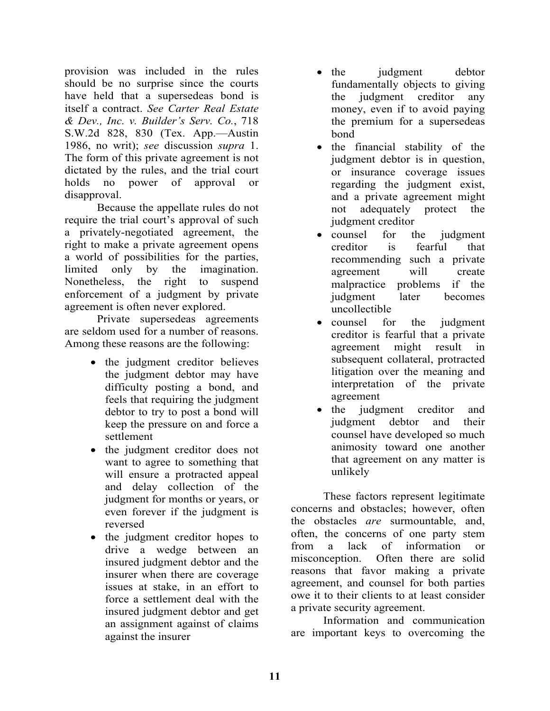provision was included in the rules should be no surprise since the courts have held that a supersedeas bond is itself a contract. *See Carter Real Estate & Dev., Inc. v. Builder's Serv. Co.*, 718 S.W.2d 828, 830 (Tex. App.—Austin 1986, no writ); *see* discussion *supra* 1. The form of this private agreement is not dictated by the rules, and the trial court holds no power of approval or disapproval.

 Because the appellate rules do not require the trial court's approval of such a privately-negotiated agreement, the right to make a private agreement opens a world of possibilities for the parties, limited only by the imagination. Nonetheless, the right to suspend enforcement of a judgment by private agreement is often never explored.

 Private supersedeas agreements are seldom used for a number of reasons. Among these reasons are the following:

- the judgment creditor believes the judgment debtor may have difficulty posting a bond, and feels that requiring the judgment debtor to try to post a bond will keep the pressure on and force a settlement
- the judgment creditor does not want to agree to something that will ensure a protracted appeal and delay collection of the judgment for months or years, or even forever if the judgment is reversed
- the judgment creditor hopes to drive a wedge between an insured judgment debtor and the insurer when there are coverage issues at stake, in an effort to force a settlement deal with the insured judgment debtor and get an assignment against of claims against the insurer
- the judgment debtor fundamentally objects to giving the judgment creditor any money, even if to avoid paying the premium for a supersedeas bond
- the financial stability of the judgment debtor is in question, or insurance coverage issues regarding the judgment exist, and a private agreement might not adequately protect the judgment creditor
- counsel for the judgment creditor is fearful that recommending such a private agreement will create malpractice problems if the judgment later becomes uncollectible
- counsel for the judgment creditor is fearful that a private agreement might result in subsequent collateral, protracted litigation over the meaning and interpretation of the private agreement
- the judgment creditor and judgment debtor and their counsel have developed so much animosity toward one another that agreement on any matter is unlikely

 These factors represent legitimate concerns and obstacles; however, often the obstacles *are* surmountable, and, often, the concerns of one party stem from a lack of information or misconception. Often there are solid reasons that favor making a private agreement, and counsel for both parties owe it to their clients to at least consider a private security agreement.

 Information and communication are important keys to overcoming the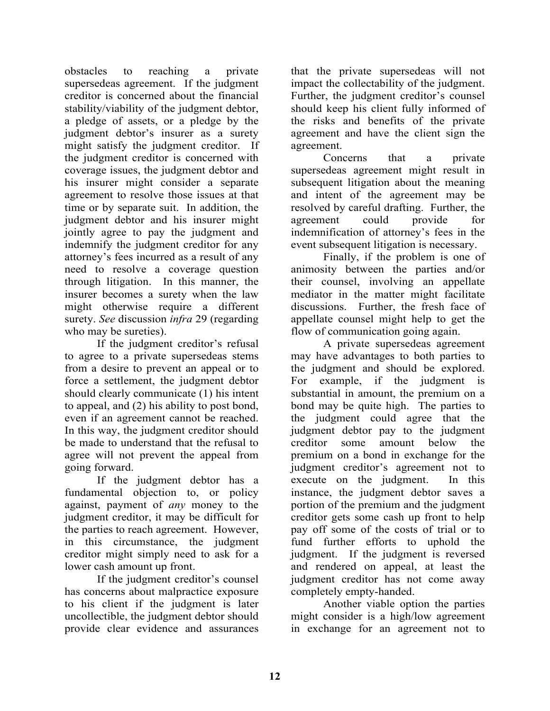obstacles to reaching a private supersedeas agreement. If the judgment creditor is concerned about the financial stability/viability of the judgment debtor, a pledge of assets, or a pledge by the judgment debtor's insurer as a surety might satisfy the judgment creditor. If the judgment creditor is concerned with coverage issues, the judgment debtor and his insurer might consider a separate agreement to resolve those issues at that time or by separate suit. In addition, the judgment debtor and his insurer might jointly agree to pay the judgment and indemnify the judgment creditor for any attorney's fees incurred as a result of any need to resolve a coverage question through litigation. In this manner, the insurer becomes a surety when the law might otherwise require a different surety. *See* discussion *infra* 29 (regarding who may be sureties).

 If the judgment creditor's refusal to agree to a private supersedeas stems from a desire to prevent an appeal or to force a settlement, the judgment debtor should clearly communicate (1) his intent to appeal, and (2) his ability to post bond, even if an agreement cannot be reached. In this way, the judgment creditor should be made to understand that the refusal to agree will not prevent the appeal from going forward.

 If the judgment debtor has a fundamental objection to, or policy against, payment of *any* money to the judgment creditor, it may be difficult for the parties to reach agreement. However, in this circumstance, the judgment creditor might simply need to ask for a lower cash amount up front.

 If the judgment creditor's counsel has concerns about malpractice exposure to his client if the judgment is later uncollectible, the judgment debtor should provide clear evidence and assurances

that the private supersedeas will not impact the collectability of the judgment. Further, the judgment creditor's counsel should keep his client fully informed of the risks and benefits of the private agreement and have the client sign the agreement.

 Concerns that a private supersedeas agreement might result in subsequent litigation about the meaning and intent of the agreement may be resolved by careful drafting. Further, the agreement could provide for indemnification of attorney's fees in the event subsequent litigation is necessary.

 Finally, if the problem is one of animosity between the parties and/or their counsel, involving an appellate mediator in the matter might facilitate discussions. Further, the fresh face of appellate counsel might help to get the flow of communication going again.

 A private supersedeas agreement may have advantages to both parties to the judgment and should be explored. For example, if the judgment is substantial in amount, the premium on a bond may be quite high. The parties to the judgment could agree that the judgment debtor pay to the judgment creditor some amount below the premium on a bond in exchange for the judgment creditor's agreement not to execute on the judgment. In this instance, the judgment debtor saves a portion of the premium and the judgment creditor gets some cash up front to help pay off some of the costs of trial or to fund further efforts to uphold the judgment. If the judgment is reversed and rendered on appeal, at least the judgment creditor has not come away completely empty-handed.

 Another viable option the parties might consider is a high/low agreement in exchange for an agreement not to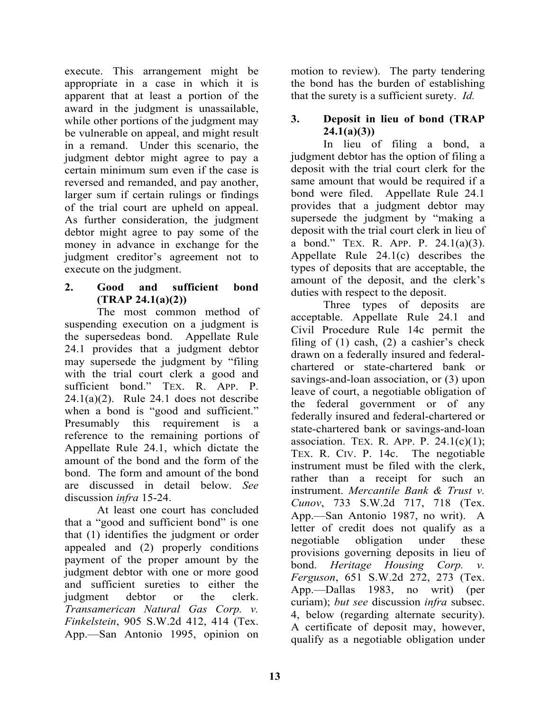execute. This arrangement might be appropriate in a case in which it is apparent that at least a portion of the award in the judgment is unassailable, while other portions of the judgment may be vulnerable on appeal, and might result in a remand. Under this scenario, the judgment debtor might agree to pay a certain minimum sum even if the case is reversed and remanded, and pay another, larger sum if certain rulings or findings of the trial court are upheld on appeal. As further consideration, the judgment debtor might agree to pay some of the money in advance in exchange for the judgment creditor's agreement not to execute on the judgment.

# **2. Good and sufficient bond (TRAP 24.1(a)(2))**

 The most common method of suspending execution on a judgment is the supersedeas bond. Appellate Rule 24.1 provides that a judgment debtor may supersede the judgment by "filing with the trial court clerk a good and sufficient bond." TEX. R. APP. P.  $24.1(a)(2)$ . Rule 24.1 does not describe when a bond is "good and sufficient." Presumably this requirement is a reference to the remaining portions of Appellate Rule 24.1, which dictate the amount of the bond and the form of the bond. The form and amount of the bond are discussed in detail below. *See* discussion *infra* 15-24.

 At least one court has concluded that a "good and sufficient bond" is one that (1) identifies the judgment or order appealed and (2) properly conditions payment of the proper amount by the judgment debtor with one or more good and sufficient sureties to either the judgment debtor or the clerk. *Transamerican Natural Gas Corp. v. Finkelstein*, 905 S.W.2d 412, 414 (Tex. App.—San Antonio 1995, opinion on motion to review). The party tendering the bond has the burden of establishing that the surety is a sufficient surety. *Id.* 

# **3. Deposit in lieu of bond (TRAP 24.1(a)(3))**

 In lieu of filing a bond, a judgment debtor has the option of filing a deposit with the trial court clerk for the same amount that would be required if a bond were filed. Appellate Rule 24.1 provides that a judgment debtor may supersede the judgment by "making a deposit with the trial court clerk in lieu of a bond." TEX. R. APP. P. 24.1(a)(3). Appellate Rule 24.1(c) describes the types of deposits that are acceptable, the amount of the deposit, and the clerk's duties with respect to the deposit.

 Three types of deposits are acceptable. Appellate Rule 24.1 and Civil Procedure Rule 14c permit the filing of  $(1)$  cash,  $(2)$  a cashier's check drawn on a federally insured and federalchartered or state-chartered bank or savings-and-loan association, or (3) upon leave of court, a negotiable obligation of the federal government or of any federally insured and federal-chartered or state-chartered bank or savings-and-loan association. TEX. R. APP. P.  $24.1(c)(1)$ ; TEX. R. CIV. P. 14c. The negotiable instrument must be filed with the clerk, rather than a receipt for such an instrument. *Mercantile Bank & Trust v. Cunov*, 733 S.W.2d 717, 718 (Tex. App.—San Antonio 1987, no writ). A letter of credit does not qualify as a negotiable obligation under these provisions governing deposits in lieu of bond. *Heritage Housing Corp. v. Ferguson*, 651 S.W.2d 272, 273 (Tex. App.—Dallas 1983, no writ) (per curiam); *but see* discussion *infra* subsec. 4, below (regarding alternate security). A certificate of deposit may, however, qualify as a negotiable obligation under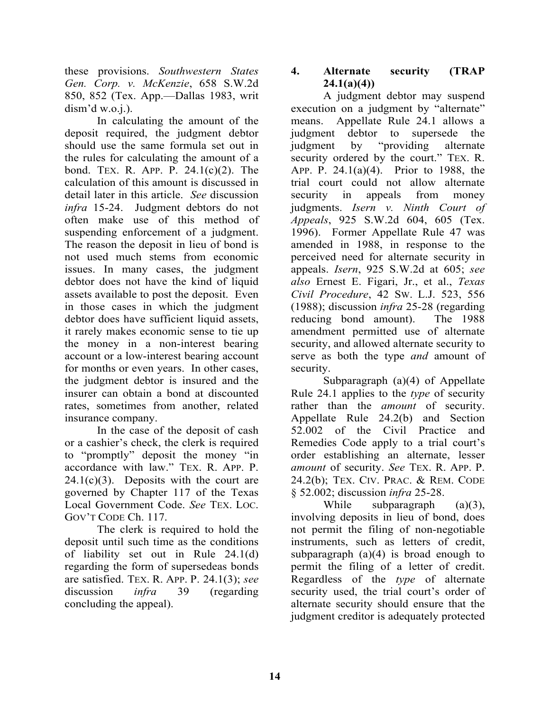these provisions. *Southwestern States Gen. Corp. v. McKenzie*, 658 S.W.2d 850, 852 (Tex. App.—Dallas 1983, writ dism'd w.o.j.).

 In calculating the amount of the deposit required, the judgment debtor should use the same formula set out in the rules for calculating the amount of a bond. TEX. R. APP. P. 24.1(c)(2). The calculation of this amount is discussed in detail later in this article. *See* discussion *infra* 15-24. Judgment debtors do not often make use of this method of suspending enforcement of a judgment. The reason the deposit in lieu of bond is not used much stems from economic issues. In many cases, the judgment debtor does not have the kind of liquid assets available to post the deposit. Even in those cases in which the judgment debtor does have sufficient liquid assets, it rarely makes economic sense to tie up the money in a non-interest bearing account or a low-interest bearing account for months or even years. In other cases, the judgment debtor is insured and the insurer can obtain a bond at discounted rates, sometimes from another, related insurance company.

 In the case of the deposit of cash or a cashier's check, the clerk is required to "promptly" deposit the money "in accordance with law." TEX. R. APP. P.  $24.1(c)(3)$ . Deposits with the court are governed by Chapter 117 of the Texas Local Government Code. *See* TEX. LOC. GOV'T CODE Ch. 117.

 The clerk is required to hold the deposit until such time as the conditions of liability set out in Rule 24.1(d) regarding the form of supersedeas bonds are satisfied. TEX. R. APP. P. 24.1(3); *see* discussion *infra* 39 (regarding concluding the appeal).

# **4. Alternate security (TRAP 24.1(a)(4))**

 A judgment debtor may suspend execution on a judgment by "alternate" means. Appellate Rule 24.1 allows a judgment debtor to supersede the judgment by "providing alternate security ordered by the court." TEX. R. APP. P. 24.1(a)(4). Prior to 1988, the trial court could not allow alternate security in appeals from money judgments. *Isern v. Ninth Court of Appeals*, 925 S.W.2d 604, 605 (Tex. 1996). Former Appellate Rule 47 was amended in 1988, in response to the perceived need for alternate security in appeals. *Isern*, 925 S.W.2d at 605; *see also* Ernest E. Figari, Jr., et al., *Texas Civil Procedure*, 42 SW. L.J. 523, 556 (1988); discussion *infra* 25-28 (regarding reducing bond amount). The 1988 amendment permitted use of alternate security, and allowed alternate security to serve as both the type *and* amount of security.

 Subparagraph (a)(4) of Appellate Rule 24.1 applies to the *type* of security rather than the *amount* of security. Appellate Rule 24.2(b) and Section 52.002 of the Civil Practice and Remedies Code apply to a trial court's order establishing an alternate, lesser *amount* of security. *See* TEX. R. APP. P. 24.2(b); TEX. CIV. PRAC. & REM. CODE § 52.002; discussion *infra* 25-28.

While subparagraph (a)(3), involving deposits in lieu of bond, does not permit the filing of non-negotiable instruments, such as letters of credit, subparagraph  $(a)(4)$  is broad enough to permit the filing of a letter of credit. Regardless of the *type* of alternate security used, the trial court's order of alternate security should ensure that the judgment creditor is adequately protected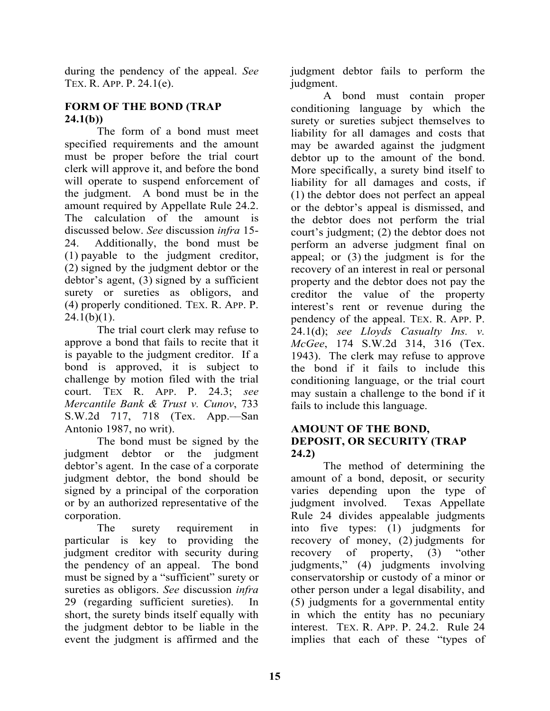during the pendency of the appeal. *See* TEX. R. APP. P. 24.1(e).

# **FORM OF THE BOND (TRAP 24.1(b))**

 The form of a bond must meet specified requirements and the amount must be proper before the trial court clerk will approve it, and before the bond will operate to suspend enforcement of the judgment. A bond must be in the amount required by Appellate Rule 24.2. The calculation of the amount is discussed below. *See* discussion *infra* 15- 24. Additionally, the bond must be (1) payable to the judgment creditor, (2) signed by the judgment debtor or the debtor's agent, (3) signed by a sufficient surety or sureties as obligors, and (4) properly conditioned. TEX. R. APP. P.  $24.1(b)(1)$ .

 The trial court clerk may refuse to approve a bond that fails to recite that it is payable to the judgment creditor. If a bond is approved, it is subject to challenge by motion filed with the trial court. TEX R. APP. P. 24.3; *see Mercantile Bank & Trust v. Cunov*, 733 S.W.2d 717, 718 (Tex. App.—San Antonio 1987, no writ).

 The bond must be signed by the judgment debtor or the judgment debtor's agent. In the case of a corporate judgment debtor, the bond should be signed by a principal of the corporation or by an authorized representative of the corporation.

 The surety requirement in particular is key to providing the judgment creditor with security during the pendency of an appeal. The bond must be signed by a "sufficient" surety or sureties as obligors. *See* discussion *infra* 29 (regarding sufficient sureties). In short, the surety binds itself equally with the judgment debtor to be liable in the event the judgment is affirmed and the

judgment debtor fails to perform the judgment.

 A bond must contain proper conditioning language by which the surety or sureties subject themselves to liability for all damages and costs that may be awarded against the judgment debtor up to the amount of the bond. More specifically, a surety bind itself to liability for all damages and costs, if (1) the debtor does not perfect an appeal or the debtor's appeal is dismissed, and the debtor does not perform the trial court's judgment; (2) the debtor does not perform an adverse judgment final on appeal; or (3) the judgment is for the recovery of an interest in real or personal property and the debtor does not pay the creditor the value of the property interest's rent or revenue during the pendency of the appeal. TEX. R. APP. P. 24.1(d); *see Lloyds Casualty Ins. v. McGee*, 174 S.W.2d 314, 316 (Tex. 1943). The clerk may refuse to approve the bond if it fails to include this conditioning language, or the trial court may sustain a challenge to the bond if it fails to include this language.

# **AMOUNT OF THE BOND, DEPOSIT, OR SECURITY (TRAP 24.2)**

 The method of determining the amount of a bond, deposit, or security varies depending upon the type of judgment involved. Texas Appellate Rule 24 divides appealable judgments into five types: (1) judgments for recovery of money, (2) judgments for recovery of property, (3) "other judgments," (4) judgments involving conservatorship or custody of a minor or other person under a legal disability, and (5) judgments for a governmental entity in which the entity has no pecuniary interest. TEX. R. APP. P. 24.2. Rule 24 implies that each of these "types of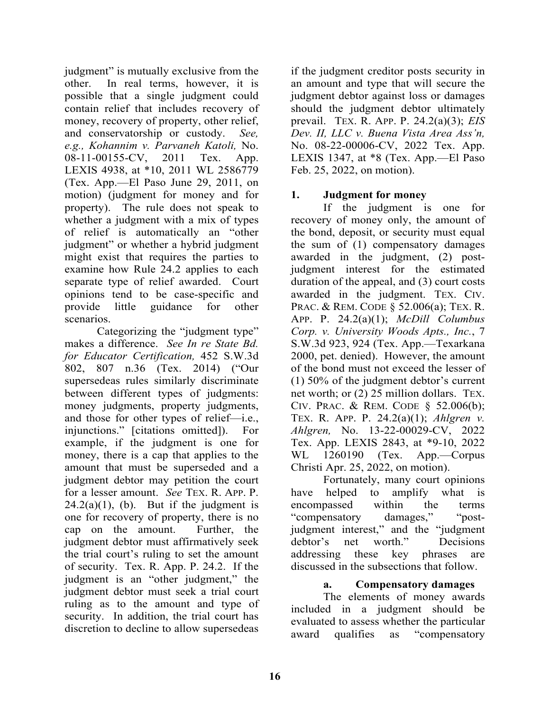judgment" is mutually exclusive from the other. In real terms, however, it is possible that a single judgment could contain relief that includes recovery of money, recovery of property, other relief, and conservatorship or custody. *See, e.g., Kohannim v. Parvaneh Katoli,* No. 08-11-00155-CV, 2011 Tex. App. LEXIS 4938, at \*10, 2011 WL 2586779 (Tex. App.—El Paso June 29, 2011, on motion) (judgment for money and for property). The rule does not speak to whether a judgment with a mix of types of relief is automatically an "other judgment" or whether a hybrid judgment might exist that requires the parties to examine how Rule 24.2 applies to each separate type of relief awarded. Court opinions tend to be case-specific and provide little guidance for other scenarios.

 Categorizing the "judgment type" makes a difference. *See In re State Bd. for Educator Certification,* 452 S.W.3d 802, 807 n.36 (Tex. 2014) ("Our supersedeas rules similarly discriminate between different types of judgments: money judgments, property judgments, and those for other types of relief—i.e., injunctions." [citations omitted]). For example, if the judgment is one for money, there is a cap that applies to the amount that must be superseded and a judgment debtor may petition the court for a lesser amount. *See* TEX. R. APP. P.  $24.2(a)(1)$ , (b). But if the judgment is one for recovery of property, there is no cap on the amount. Further, the judgment debtor must affirmatively seek the trial court's ruling to set the amount of security. Tex. R. App. P. 24.2. If the judgment is an "other judgment," the judgment debtor must seek a trial court ruling as to the amount and type of security. In addition, the trial court has discretion to decline to allow supersedeas

if the judgment creditor posts security in an amount and type that will secure the judgment debtor against loss or damages should the judgment debtor ultimately prevail. TEX. R. APP. P. 24.2(a)(3); *EIS Dev. II, LLC v. Buena Vista Area Ass'n,*  No. 08-22-00006-CV, 2022 Tex. App. LEXIS 1347, at \*8 (Tex. App.—El Paso Feb. 25, 2022, on motion).

# **1. Judgment for money**

 If the judgment is one for recovery of money only, the amount of the bond, deposit, or security must equal the sum of (1) compensatory damages awarded in the judgment, (2) postjudgment interest for the estimated duration of the appeal, and (3) court costs awarded in the judgment. TEX. CIV. PRAC. & REM. CODE § 52.006(a); TEX. R. APP. P. 24.2(a)(1); *McDill Columbus Corp. v. University Woods Apts., Inc.*, 7 S.W.3d 923, 924 (Tex. App.—Texarkana 2000, pet. denied). However, the amount of the bond must not exceed the lesser of (1) 50% of the judgment debtor's current net worth; or (2) 25 million dollars. TEX. CIV. PRAC. & REM. CODE § 52.006(b); TEX. R. APP. P. 24.2(a)(1); *Ahlgren v. Ahlgren,* No. 13-22-00029-CV, 2022 Tex. App. LEXIS 2843, at \*9-10, 2022 WL 1260190 (Tex. App.—Corpus Christi Apr. 25, 2022, on motion).

 Fortunately, many court opinions have helped to amplify what is encompassed within the terms "compensatory damages," "postjudgment interest," and the "judgment debtor's net worth." Decisions addressing these key phrases are discussed in the subsections that follow.

#### **a. Compensatory damages**

 The elements of money awards included in a judgment should be evaluated to assess whether the particular award qualifies as "compensatory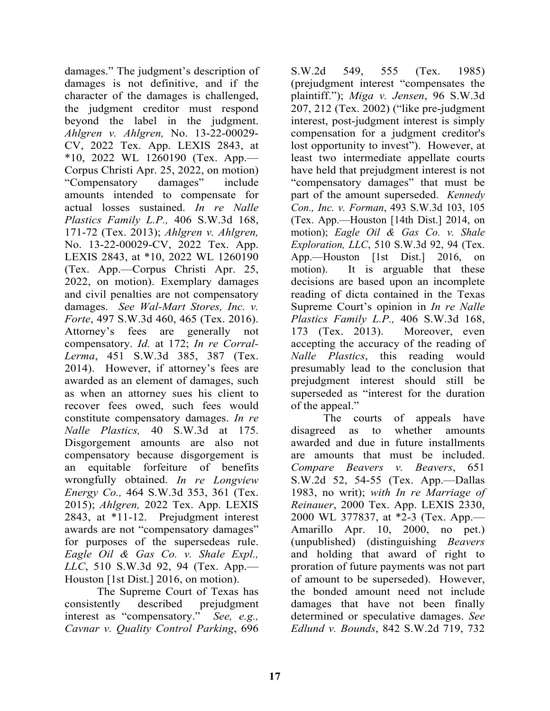damages." The judgment's description of damages is not definitive, and if the character of the damages is challenged, the judgment creditor must respond beyond the label in the judgment. *Ahlgren v. Ahlgren,* No. 13-22-00029- CV, 2022 Tex. App. LEXIS 2843, at \*10, 2022 WL 1260190 (Tex. App.— Corpus Christi Apr. 25, 2022, on motion) "Compensatory damages" include amounts intended to compensate for actual losses sustained. *In re Nalle Plastics Family L.P.,* 406 S.W.3d 168, 171-72 (Tex. 2013); *Ahlgren v. Ahlgren,*  No. 13-22-00029-CV, 2022 Tex. App. LEXIS 2843, at \*10, 2022 WL 1260190 (Tex. App.—Corpus Christi Apr. 25, 2022, on motion). Exemplary damages and civil penalties are not compensatory damages. *See Wal-Mart Stores, Inc. v. Forte*, 497 S.W.3d 460, 465 (Tex. 2016). Attorney's fees are generally not compensatory. *Id.* at 172; *In re Corral-Lerma*, 451 S.W.3d 385, 387 (Tex. 2014). However, if attorney's fees are awarded as an element of damages, such as when an attorney sues his client to recover fees owed, such fees would constitute compensatory damages. *In re Nalle Plastics,* 40 S.W.3d at 175. Disgorgement amounts are also not compensatory because disgorgement is an equitable forfeiture of benefits wrongfully obtained. *In re Longview Energy Co.,* 464 S.W.3d 353, 361 (Tex. 2015); *Ahlgren,* 2022 Tex. App. LEXIS 2843, at \*11-12. Prejudgment interest awards are not "compensatory damages" for purposes of the supersedeas rule. *Eagle Oil & Gas Co. v. Shale Expl., LLC*, 510 S.W.3d 92, 94 (Tex. App.— Houston [1st Dist.] 2016, on motion).

 The Supreme Court of Texas has consistently described prejudgment interest as "compensatory." *See, e.g., Cavnar v. Quality Control Parking*, 696

S.W.2d 549, 555 (Tex. 1985) (prejudgment interest "compensates the plaintiff."); *Miga v. Jensen*, 96 S.W.3d 207, 212 (Tex. 2002) ("like pre-judgment interest, post-judgment interest is simply compensation for a judgment creditor's lost opportunity to invest"). However, at least two intermediate appellate courts have held that prejudgment interest is not "compensatory damages" that must be part of the amount superseded. *Kennedy Con., Inc. v. Forman*, 493 S.W.3d 103, 105 (Tex. App.—Houston [14th Dist.] 2014, on motion); *Eagle Oil & Gas Co. v. Shale Exploration, LLC*, 510 S.W.3d 92, 94 (Tex. App.—Houston [1st Dist.] 2016, on motion). It is arguable that these decisions are based upon an incomplete reading of dicta contained in the Texas Supreme Court's opinion in *In re Nalle Plastics Family L.P.,* 406 S.W.3d 168, 173 (Tex. 2013). Moreover, even accepting the accuracy of the reading of *Nalle Plastics*, this reading would presumably lead to the conclusion that prejudgment interest should still be superseded as "interest for the duration of the appeal."

 The courts of appeals have disagreed as to whether amounts awarded and due in future installments are amounts that must be included. *Compare Beavers v. Beavers*, 651 S.W.2d 52, 54-55 (Tex. App.—Dallas 1983, no writ); *with In re Marriage of Reinauer*, 2000 Tex. App. LEXIS 2330, 2000 WL 377837, at \*2-3 (Tex. App.— Amarillo Apr. 10, 2000, no pet.) (unpublished) (distinguishing *Beavers* and holding that award of right to proration of future payments was not part of amount to be superseded). However, the bonded amount need not include damages that have not been finally determined or speculative damages. *See Edlund v. Bounds*, 842 S.W.2d 719, 732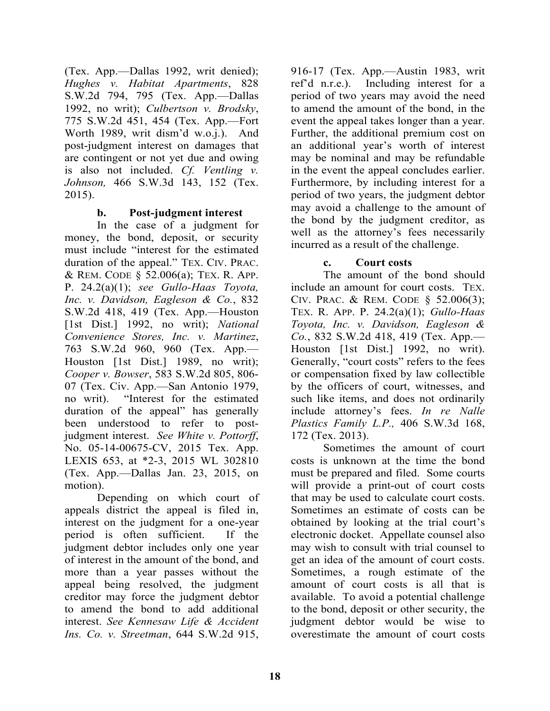(Tex. App.—Dallas 1992, writ denied); *Hughes v. Habitat Apartments*, 828 S.W.2d 794, 795 (Tex. App.—Dallas 1992, no writ); *Culbertson v. Brodsky*, 775 S.W.2d 451, 454 (Tex. App.—Fort Worth 1989, writ dism'd w.o.j.). And post-judgment interest on damages that are contingent or not yet due and owing is also not included. *Cf. Ventling v. Johnson,* 466 S.W.3d 143, 152 (Tex. 2015).

#### **b. Post-judgment interest**

In the case of a judgment for money, the bond, deposit, or security must include "interest for the estimated duration of the appeal." TEX. CIV. PRAC. & REM. CODE § 52.006(a); TEX. R. APP. P. 24.2(a)(1); *see Gullo-Haas Toyota, Inc. v. Davidson, Eagleson & Co.*, 832 S.W.2d 418, 419 (Tex. App.—Houston [1st Dist.] 1992, no writ); *National Convenience Stores, Inc. v. Martinez*, 763 S.W.2d 960, 960 (Tex. App.— Houston [1st Dist.] 1989, no writ); *Cooper v. Bowser*, 583 S.W.2d 805, 806- 07 (Tex. Civ. App.—San Antonio 1979, no writ). "Interest for the estimated duration of the appeal" has generally been understood to refer to postjudgment interest. *See White v. Pottorff*, No. 05-14-00675-CV, 2015 Tex. App. LEXIS 653, at \*2-3, 2015 WL 302810 (Tex. App.—Dallas Jan. 23, 2015, on motion).

 Depending on which court of appeals district the appeal is filed in, interest on the judgment for a one-year period is often sufficient. If the judgment debtor includes only one year of interest in the amount of the bond, and more than a year passes without the appeal being resolved, the judgment creditor may force the judgment debtor to amend the bond to add additional interest. *See Kennesaw Life & Accident Ins. Co. v. Streetman*, 644 S.W.2d 915,

916-17 (Tex. App.—Austin 1983, writ ref'd n.r.e.). Including interest for a period of two years may avoid the need to amend the amount of the bond, in the event the appeal takes longer than a year. Further, the additional premium cost on an additional year's worth of interest may be nominal and may be refundable in the event the appeal concludes earlier. Furthermore, by including interest for a period of two years, the judgment debtor may avoid a challenge to the amount of the bond by the judgment creditor, as well as the attorney's fees necessarily incurred as a result of the challenge.

#### **c. Court costs**

 The amount of the bond should include an amount for court costs. TEX. CIV. PRAC. & REM. CODE § 52.006(3); TEX. R. APP. P. 24.2(a)(1); *Gullo-Haas Toyota, Inc. v. Davidson, Eagleson & Co.*, 832 S.W.2d 418, 419 (Tex. App.— Houston [1st Dist.] 1992, no writ). Generally, "court costs" refers to the fees or compensation fixed by law collectible by the officers of court, witnesses, and such like items, and does not ordinarily include attorney's fees. *In re Nalle Plastics Family L.P.,* 406 S.W.3d 168, 172 (Tex. 2013).

 Sometimes the amount of court costs is unknown at the time the bond must be prepared and filed. Some courts will provide a print-out of court costs that may be used to calculate court costs. Sometimes an estimate of costs can be obtained by looking at the trial court's electronic docket. Appellate counsel also may wish to consult with trial counsel to get an idea of the amount of court costs. Sometimes, a rough estimate of the amount of court costs is all that is available. To avoid a potential challenge to the bond, deposit or other security, the judgment debtor would be wise to overestimate the amount of court costs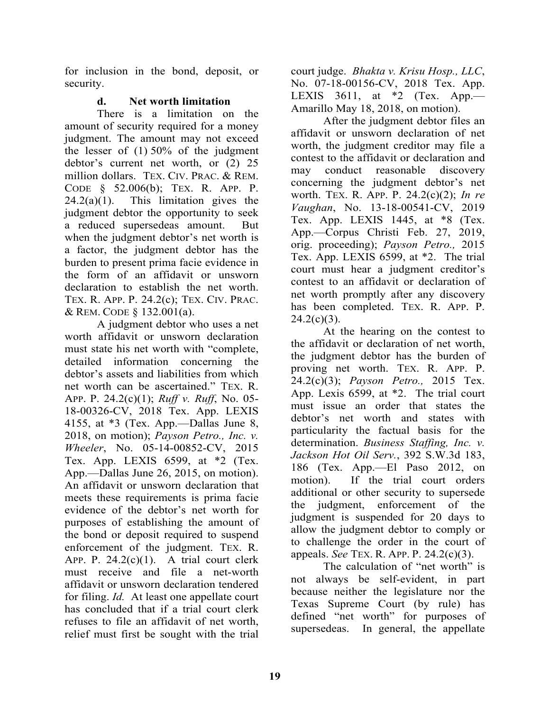for inclusion in the bond, deposit, or security.

# **d. Net worth limitation**

 There is a limitation on the amount of security required for a money judgment. The amount may not exceed the lesser of (1) 50% of the judgment debtor's current net worth, or (2) 25 million dollars. TEX. CIV. PRAC. & REM. CODE § 52.006(b); TEX. R. APP. P.  $24.2(a)(1)$ . This limitation gives the judgment debtor the opportunity to seek a reduced supersedeas amount. But when the judgment debtor's net worth is a factor, the judgment debtor has the burden to present prima facie evidence in the form of an affidavit or unsworn declaration to establish the net worth. TEX. R. APP. P. 24.2(c); TEX. CIV. PRAC. & REM. CODE § 132.001(a).

 A judgment debtor who uses a net worth affidavit or unsworn declaration must state his net worth with "complete, detailed information concerning the debtor's assets and liabilities from which net worth can be ascertained." TEX. R. APP. P. 24.2(c)(1); *Ruff v. Ruff*, No. 05- 18-00326-CV, 2018 Tex. App. LEXIS 4155, at \*3 (Tex. App.—Dallas June 8, 2018, on motion); *Payson Petro., Inc. v. Wheeler*, No. 05-14-00852-CV, 2015 Tex. App. LEXIS 6599, at \*2 (Tex. App.—Dallas June 26, 2015, on motion). An affidavit or unsworn declaration that meets these requirements is prima facie evidence of the debtor's net worth for purposes of establishing the amount of the bond or deposit required to suspend enforcement of the judgment. TEX. R. APP. P.  $24.2(c)(1)$ . A trial court clerk must receive and file a net-worth affidavit or unsworn declaration tendered for filing. *Id.* At least one appellate court has concluded that if a trial court clerk refuses to file an affidavit of net worth, relief must first be sought with the trial

court judge. *Bhakta v. Krisu Hosp., LLC*, No. 07-18-00156-CV, 2018 Tex. App. LEXIS  $3611$ , at  $*2$  (Tex. App. Amarillo May 18, 2018, on motion).

 After the judgment debtor files an affidavit or unsworn declaration of net worth, the judgment creditor may file a contest to the affidavit or declaration and may conduct reasonable discovery concerning the judgment debtor's net worth. TEX. R. APP. P. 24.2(c)(2); *In re Vaughan*, No. 13-18-00541-CV, 2019 Tex. App. LEXIS  $1445$ , at  $*8$  (Tex. App.—Corpus Christi Feb. 27, 2019, orig. proceeding); *Payson Petro.,* 2015 Tex. App. LEXIS 6599, at \*2. The trial court must hear a judgment creditor's contest to an affidavit or declaration of net worth promptly after any discovery has been completed. TEX. R. APP. P.  $24.2(c)(3)$ .

 At the hearing on the contest to the affidavit or declaration of net worth, the judgment debtor has the burden of proving net worth. TEX. R. APP. P. 24.2(c)(3); *Payson Petro.,* 2015 Tex. App. Lexis 6599, at \*2. The trial court must issue an order that states the debtor's net worth and states with particularity the factual basis for the determination. *Business Staffing, Inc. v. Jackson Hot Oil Serv.*, 392 S.W.3d 183, 186 (Tex. App.—El Paso 2012, on motion). If the trial court orders additional or other security to supersede the judgment, enforcement of the judgment is suspended for 20 days to allow the judgment debtor to comply or to challenge the order in the court of appeals. *See* TEX. R. APP. P. 24.2(c)(3).

The calculation of "net worth" is not always be self-evident, in part because neither the legislature nor the Texas Supreme Court (by rule) has defined "net worth" for purposes of supersedeas. In general, the appellate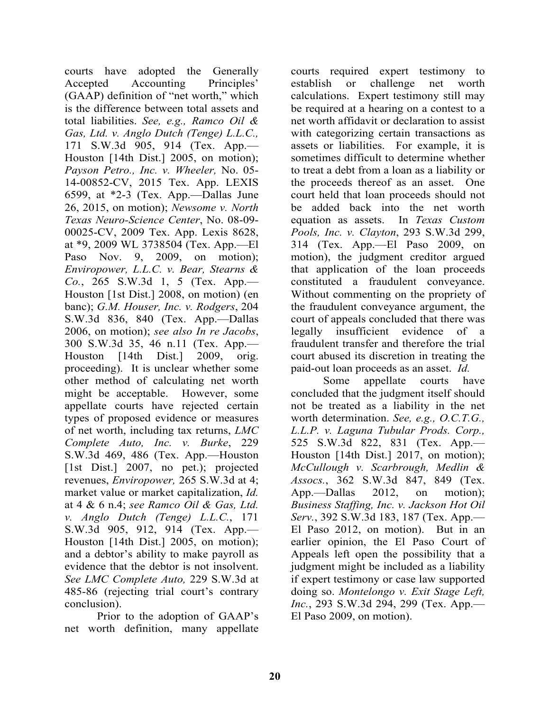courts have adopted the Generally Accepted Accounting Principles' (GAAP) definition of "net worth," which is the difference between total assets and total liabilities. *See, e.g., Ramco Oil & Gas, Ltd. v. Anglo Dutch (Tenge) L.L.C.,*  171 S.W.3d 905, 914 (Tex. App.— Houston [14th Dist.] 2005, on motion); *Payson Petro., Inc. v. Wheeler,* No. 05- 14-00852-CV, 2015 Tex. App. LEXIS 6599, at \*2-3 (Tex. App.—Dallas June 26, 2015, on motion); *Newsome v. North Texas Neuro-Science Center*, No. 08-09- 00025-CV, 2009 Tex. App. Lexis 8628, at \*9, 2009 WL 3738504 (Tex. App.—El Paso Nov. 9, 2009, on motion); *Enviropower, L.L.C. v. Bear, Stearns & Co.*, 265 S.W.3d 1, 5 (Tex. App.— Houston [1st Dist.] 2008, on motion) (en banc); *G.M. Houser, Inc. v. Rodgers*, 204 S.W.3d 836, 840 (Tex. App.—Dallas 2006, on motion); *see also In re Jacobs*, 300 S.W.3d 35, 46 n.11 (Tex. App.— Houston [14th Dist.] 2009, orig. proceeding). It is unclear whether some other method of calculating net worth might be acceptable. However, some appellate courts have rejected certain types of proposed evidence or measures of net worth, including tax returns, *LMC Complete Auto, Inc. v. Burke*, 229 S.W.3d 469, 486 (Tex. App.—Houston [1st Dist.] 2007, no pet.); projected revenues, *Enviropower,* 265 S.W.3d at 4; market value or market capitalization, *Id.*  at 4 & 6 n.4; *see Ramco Oil & Gas, Ltd. v. Anglo Dutch (Tenge) L.L.C.*, 171 S.W.3d 905, 912, 914 (Tex. App.— Houston [14th Dist.] 2005, on motion); and a debtor's ability to make payroll as evidence that the debtor is not insolvent. *See LMC Complete Auto,* 229 S.W.3d at 485-86 (rejecting trial court's contrary conclusion).

 Prior to the adoption of GAAP's net worth definition, many appellate

courts required expert testimony to establish or challenge net worth calculations. Expert testimony still may be required at a hearing on a contest to a net worth affidavit or declaration to assist with categorizing certain transactions as assets or liabilities. For example, it is sometimes difficult to determine whether to treat a debt from a loan as a liability or the proceeds thereof as an asset. One court held that loan proceeds should not be added back into the net worth equation as assets. In *Texas Custom Pools, Inc. v. Clayton*, 293 S.W.3d 299, 314 (Tex. App.—El Paso 2009, on motion), the judgment creditor argued that application of the loan proceeds constituted a fraudulent conveyance. Without commenting on the propriety of the fraudulent conveyance argument, the court of appeals concluded that there was legally insufficient evidence of a fraudulent transfer and therefore the trial court abused its discretion in treating the paid-out loan proceeds as an asset. *Id.* 

 Some appellate courts have concluded that the judgment itself should not be treated as a liability in the net worth determination. *See, e.g., O.C.T.G., L.L.P. v. Laguna Tubular Prods. Corp.,*  525 S.W.3d 822, 831 (Tex. App.— Houston [14th Dist.] 2017, on motion); *McCullough v. Scarbrough, Medlin & Assocs.*, 362 S.W.3d 847, 849 (Tex. App.—Dallas 2012, on motion); *Business Staffing, Inc. v. Jackson Hot Oil Serv.*, 392 S.W.3d 183, 187 (Tex. App.— El Paso 2012, on motion). But in an earlier opinion, the El Paso Court of Appeals left open the possibility that a judgment might be included as a liability if expert testimony or case law supported doing so. *Montelongo v. Exit Stage Left, Inc.*, 293 S.W.3d 294, 299 (Tex. App.— El Paso 2009, on motion).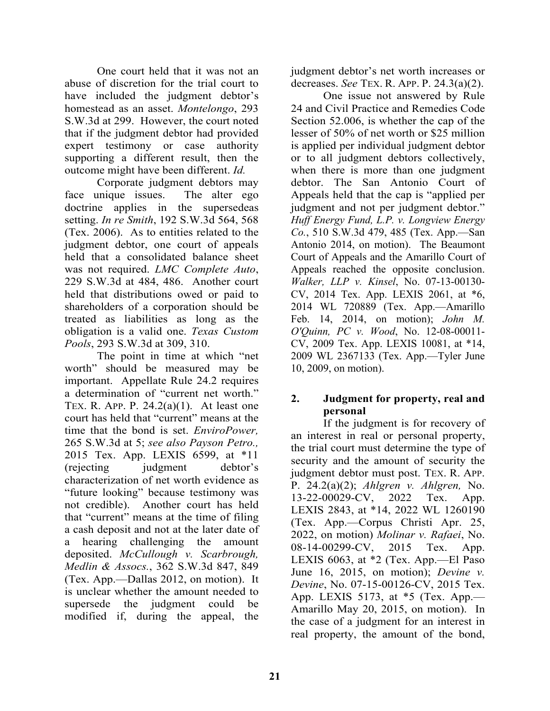One court held that it was not an abuse of discretion for the trial court to have included the judgment debtor's homestead as an asset. *Montelongo*, 293 S.W.3d at 299. However, the court noted that if the judgment debtor had provided expert testimony or case authority supporting a different result, then the outcome might have been different. *Id.*

 Corporate judgment debtors may face unique issues. The alter ego doctrine applies in the supersedeas setting. *In re Smith*, 192 S.W.3d 564, 568 (Tex. 2006). As to entities related to the judgment debtor, one court of appeals held that a consolidated balance sheet was not required. *LMC Complete Auto*, 229 S.W.3d at 484, 486. Another court held that distributions owed or paid to shareholders of a corporation should be treated as liabilities as long as the obligation is a valid one. *Texas Custom Pools*, 293 S.W.3d at 309, 310.

 The point in time at which "net worth" should be measured may be important. Appellate Rule 24.2 requires a determination of "current net worth." TEX. R. APP. P.  $24.2(a)(1)$ . At least one court has held that "current" means at the time that the bond is set. *EnviroPower,*  265 S.W.3d at 5; *see also Payson Petro.,*  2015 Tex. App. LEXIS 6599, at \*11 (rejecting judgment debtor's characterization of net worth evidence as "future looking" because testimony was not credible). Another court has held that "current" means at the time of filing a cash deposit and not at the later date of a hearing challenging the amount deposited. *McCullough v. Scarbrough, Medlin & Assocs.*, 362 S.W.3d 847, 849 (Tex. App.—Dallas 2012, on motion). It is unclear whether the amount needed to supersede the judgment could be modified if, during the appeal, the

judgment debtor's net worth increases or decreases. *See* TEX. R. APP. P. 24.3(a)(2).

 One issue not answered by Rule 24 and Civil Practice and Remedies Code Section 52.006, is whether the cap of the lesser of 50% of net worth or \$25 million is applied per individual judgment debtor or to all judgment debtors collectively, when there is more than one judgment debtor. The San Antonio Court of Appeals held that the cap is "applied per judgment and not per judgment debtor." *Huff Energy Fund, L.P. v. Longview Energy Co.*, 510 S.W.3d 479, 485 (Tex. App.—San Antonio 2014, on motion). The Beaumont Court of Appeals and the Amarillo Court of Appeals reached the opposite conclusion. *Walker, LLP v. Kinsel*, No. 07-13-00130- CV, 2014 Tex. App. LEXIS 2061, at \*6, 2014 WL 720889 (Tex. App.—Amarillo Feb. 14, 2014, on motion); *John M. O'Quinn, PC v. Wood*, No. 12-08-00011- CV, 2009 Tex. App. LEXIS 10081, at \*14, 2009 WL 2367133 (Tex. App.—Tyler June 10, 2009, on motion).

# **2. Judgment for property, real and personal**

 If the judgment is for recovery of an interest in real or personal property, the trial court must determine the type of security and the amount of security the judgment debtor must post. TEX. R. APP. P. 24.2(a)(2); *Ahlgren v. Ahlgren,* No. 13-22-00029-CV, 2022 Tex. App. LEXIS 2843, at \*14, 2022 WL 1260190 (Tex. App.—Corpus Christi Apr. 25, 2022, on motion) *Molinar v. Rafaei*, No. 08-14-00299-CV, 2015 Tex. App. LEXIS 6063, at \*2 (Tex. App.—El Paso June 16, 2015, on motion); *Devine v. Devine*, No. 07-15-00126-CV, 2015 Tex. App. LEXIS 5173, at \*5 (Tex. App.— Amarillo May 20, 2015, on motion). In the case of a judgment for an interest in real property, the amount of the bond,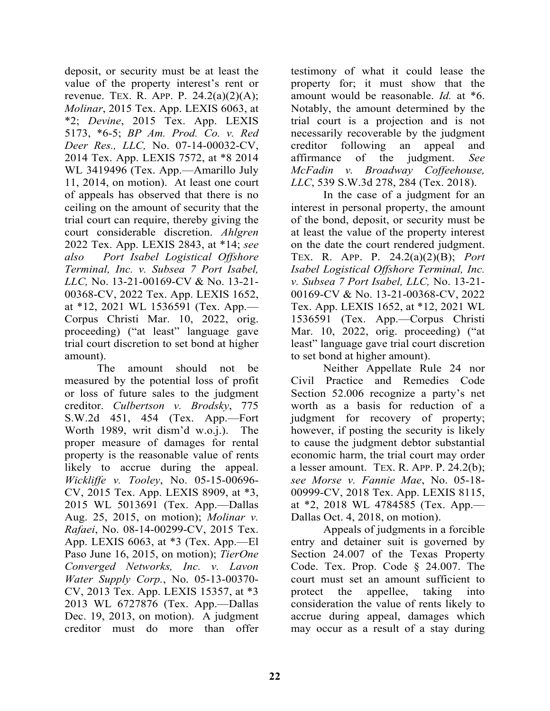deposit, or security must be at least the value of the property interest's rent or revenue. TEX. R. APP. P.  $24.2(a)(2)(A)$ ; *Molinar*, 2015 Tex. App. LEXIS 6063, at \*2; *Devine*, 2015 Tex. App. LEXIS 5173, \*6-5; *BP Am. Prod. Co. v. Red Deer Res., LLC,* No. 07-14-00032-CV, 2014 Tex. App. LEXIS 7572, at \*8 2014 WL 3419496 (Tex. App.—Amarillo July 11, 2014, on motion). At least one court of appeals has observed that there is no ceiling on the amount of security that the trial court can require, thereby giving the court considerable discretion. *Ahlgren*  2022 Tex. App. LEXIS 2843, at \*14; *see also Port Isabel Logistical Offshore Terminal, Inc. v. Subsea 7 Port Isabel, LLC,* No. 13-21-00169-CV & No. 13-21- 00368-CV, 2022 Tex. App. LEXIS 1652, at \*12, 2021 WL 1536591 (Tex. App.— Corpus Christi Mar. 10, 2022, orig. proceeding) ("at least" language gave trial court discretion to set bond at higher amount).

The amount should not be measured by the potential loss of profit or loss of future sales to the judgment creditor. *Culbertson v. Brodsky*, 775 S.W.2d 451, 454 (Tex. App.—Fort Worth 1989, writ dism'd w.o.j.). The proper measure of damages for rental property is the reasonable value of rents likely to accrue during the appeal. *Wickliffe v. Tooley*, No. 05-15-00696- CV, 2015 Tex. App. LEXIS 8909, at \*3, 2015 WL 5013691 (Tex. App.—Dallas Aug. 25, 2015, on motion); *Molinar v. Rafaei*, No. 08-14-00299-CV, 2015 Tex. App. LEXIS 6063, at \*3 (Tex. App.—El Paso June 16, 2015, on motion); *TierOne Converged Networks, Inc. v. Lavon Water Supply Corp.*, No. 05-13-00370- CV, 2013 Tex. App. LEXIS 15357, at \*3 2013 WL 6727876 (Tex. App.—Dallas Dec. 19, 2013, on motion). A judgment creditor must do more than offer

testimony of what it could lease the property for; it must show that the amount would be reasonable. *Id.* at \*6. Notably, the amount determined by the trial court is a projection and is not necessarily recoverable by the judgment creditor following an appeal and affirmance of the judgment. *See McFadin v. Broadway Coffeehouse, LLC*, 539 S.W.3d 278, 284 (Tex. 2018).

 In the case of a judgment for an interest in personal property, the amount of the bond, deposit, or security must be at least the value of the property interest on the date the court rendered judgment. TEX. R. APP. P. 24.2(a)(2)(B); *Port Isabel Logistical Offshore Terminal, Inc. v. Subsea 7 Port Isabel, LLC,* No. 13-21- 00169-CV & No. 13-21-00368-CV, 2022 Tex. App. LEXIS 1652, at \*12, 2021 WL 1536591 (Tex. App.—Corpus Christi Mar. 10, 2022, orig. proceeding) ("at least" language gave trial court discretion to set bond at higher amount).

 Neither Appellate Rule 24 nor Civil Practice and Remedies Code Section 52.006 recognize a party's net worth as a basis for reduction of a judgment for recovery of property; however, if posting the security is likely to cause the judgment debtor substantial economic harm, the trial court may order a lesser amount. TEX. R. APP. P. 24.2(b); *see Morse v. Fannie Mae*, No. 05-18- 00999-CV, 2018 Tex. App. LEXIS 8115, at \*2, 2018 WL 4784585 (Tex. App.— Dallas Oct. 4, 2018, on motion).

 Appeals of judgments in a forcible entry and detainer suit is governed by Section 24.007 of the Texas Property Code. Tex. Prop. Code § 24.007. The court must set an amount sufficient to protect the appellee, taking into consideration the value of rents likely to accrue during appeal, damages which may occur as a result of a stay during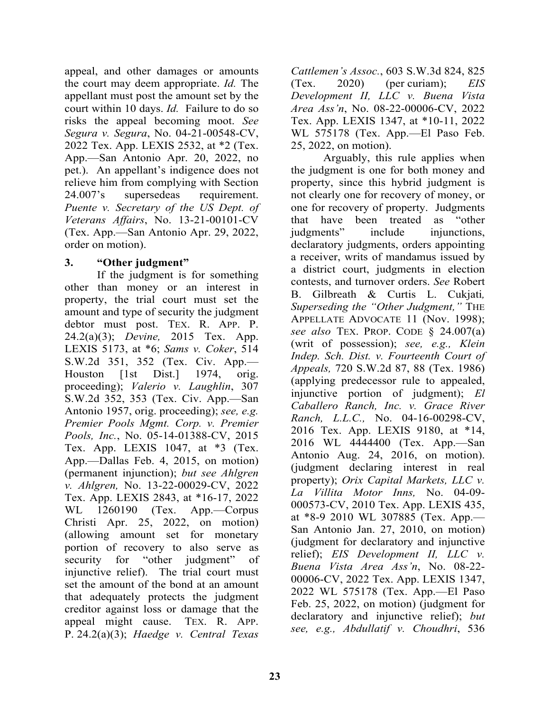appeal, and other damages or amounts the court may deem appropriate. *Id.* The appellant must post the amount set by the court within 10 days. *Id.* Failure to do so risks the appeal becoming moot. *See Segura v. Segura*, No. 04-21-00548-CV, 2022 Tex. App. LEXIS 2532, at \*2 (Tex. App.—San Antonio Apr. 20, 2022, no pet.). An appellant's indigence does not relieve him from complying with Section 24.007's supersedeas requirement. *Puente v. Secretary of the US Dept. of Veterans Affairs*, No. 13-21-00101-CV (Tex. App.—San Antonio Apr. 29, 2022, order on motion).

#### **3. "Other judgment"**

 If the judgment is for something other than money or an interest in property, the trial court must set the amount and type of security the judgment debtor must post. TEX. R. APP. P. 24.2(a)(3); *Devine,* 2015 Tex. App. LEXIS 5173, at \*6; *Sams v. Coker*, 514 S.W.2d 351, 352 (Tex. Civ. App.— Houston [1st Dist.] 1974, orig. proceeding); *Valerio v. Laughlin*, 307 S.W.2d 352, 353 (Tex. Civ. App.—San Antonio 1957, orig. proceeding); *see, e.g. Premier Pools Mgmt. Corp. v. Premier Pools, Inc.*, No. 05-14-01388-CV, 2015 Tex. App. LEXIS 1047, at \*3 (Tex. App.—Dallas Feb. 4, 2015, on motion) (permanent injunction); *but see Ahlgren v. Ahlgren,* No. 13-22-00029-CV, 2022 Tex. App. LEXIS 2843, at \*16-17, 2022 WL 1260190 (Tex. App.—Corpus Christi Apr. 25, 2022, on motion) (allowing amount set for monetary portion of recovery to also serve as security for "other judgment" of injunctive relief). The trial court must set the amount of the bond at an amount that adequately protects the judgment creditor against loss or damage that the appeal might cause. TEX. R. APP. P. 24.2(a)(3); *Haedge v. Central Texas* 

*Cattlemen's Assoc.*, 603 S.W.3d 824, 825 (Tex. 2020) (per curiam); *EIS Development II, LLC v. Buena Vista Area Ass'n*, No. 08-22-00006-CV, 2022 Tex. App. LEXIS 1347, at \*10-11, 2022 WL 575178 (Tex. App.—El Paso Feb. 25, 2022, on motion).

 Arguably, this rule applies when the judgment is one for both money and property, since this hybrid judgment is not clearly one for recovery of money, or one for recovery of property. Judgments that have been treated as "other judgments" include injunctions, declaratory judgments, orders appointing a receiver, writs of mandamus issued by a district court, judgments in election contests, and turnover orders. *See* Robert B. Gilbreath & Curtis L. Cukjati*, Superseding the "Other Judgment,"* THE APPELLATE ADVOCATE 11 (Nov. 1998); *see also* TEX. PROP. CODE § 24.007(a) (writ of possession); *see, e.g., Klein Indep. Sch. Dist. v. Fourteenth Court of Appeals,* 720 S.W.2d 87, 88 (Tex. 1986) (applying predecessor rule to appealed, injunctive portion of judgment); *El Caballero Ranch, Inc. v. Grace River Ranch, L.L.C.,* No. 04-16-00298-CV, 2016 Tex. App. LEXIS 9180, at \*14, 2016 WL 4444400 (Tex. App.—San Antonio Aug. 24, 2016, on motion). (judgment declaring interest in real property); *Orix Capital Markets, LLC v. La Villita Motor Inns,* No. 04-09- 000573-CV, 2010 Tex. App. LEXIS 435, at \*8-9 2010 WL 307885 (Tex. App.— San Antonio Jan. 27, 2010, on motion) (judgment for declaratory and injunctive relief); *EIS Development II, LLC v. Buena Vista Area Ass'n*, No. 08-22- 00006-CV, 2022 Tex. App. LEXIS 1347, 2022 WL 575178 (Tex. App.—El Paso Feb. 25, 2022, on motion) (judgment for declaratory and injunctive relief); *but see, e.g., Abdullatif v. Choudhri*, 536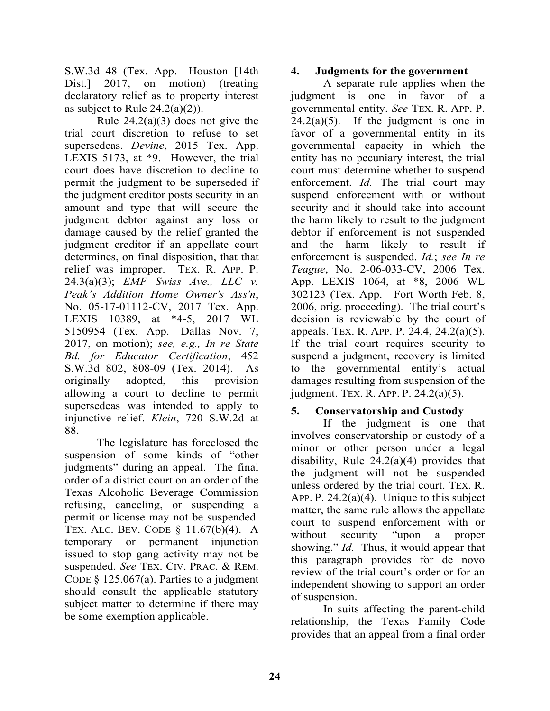S.W.3d 48 (Tex. App.—Houston [14th Dist.] 2017, on motion) (treating declaratory relief as to property interest as subject to Rule  $24.2(a)(2)$ ).

Rule  $24.2(a)(3)$  does not give the trial court discretion to refuse to set supersedeas. *Devine*, 2015 Tex. App. LEXIS 5173, at \*9. However, the trial court does have discretion to decline to permit the judgment to be superseded if the judgment creditor posts security in an amount and type that will secure the judgment debtor against any loss or damage caused by the relief granted the judgment creditor if an appellate court determines, on final disposition, that that relief was improper. TEX. R. APP. P. 24.3(a)(3); *EMF Swiss Ave., LLC v. Peak's Addition Home Owner's Ass'n*, No. 05-17-01112-CV, 2017 Tex. App. LEXIS 10389, at \*4-5, 2017 WL 5150954 (Tex. App.—Dallas Nov. 7, 2017, on motion); *see, e.g., In re State Bd. for Educator Certification*, 452 S.W.3d 802, 808-09 (Tex. 2014). As originally adopted, this provision allowing a court to decline to permit supersedeas was intended to apply to injunctive relief. *Klein*, 720 S.W.2d at 88.

 The legislature has foreclosed the suspension of some kinds of "other judgments" during an appeal. The final order of a district court on an order of the Texas Alcoholic Beverage Commission refusing, canceling, or suspending a permit or license may not be suspended. TEX. ALC. BEV. CODE § 11.67(b)(4). A temporary or permanent injunction issued to stop gang activity may not be suspended. *See* TEX. CIV. PRAC. & REM. CODE  $\frac{125.067(a)}{a}$ . Parties to a judgment should consult the applicable statutory subject matter to determine if there may be some exemption applicable.

#### **4. Judgments for the government**

 A separate rule applies when the judgment is one in favor of a governmental entity. *See* TEX. R. APP. P.  $24.2(a)(5)$ . If the judgment is one in favor of a governmental entity in its governmental capacity in which the entity has no pecuniary interest, the trial court must determine whether to suspend enforcement. *Id.* The trial court may suspend enforcement with or without security and it should take into account the harm likely to result to the judgment debtor if enforcement is not suspended and the harm likely to result if enforcement is suspended. *Id.*; *see In re Teague*, No. 2-06-033-CV, 2006 Tex. App. LEXIS 1064, at \*8, 2006 WL 302123 (Tex. App.—Fort Worth Feb. 8, 2006, orig. proceeding). The trial court's decision is reviewable by the court of appeals. TEX. R. APP. P. 24.4, 24.2(a)(5). If the trial court requires security to suspend a judgment, recovery is limited to the governmental entity's actual damages resulting from suspension of the judgment. TEX. R. APP. P. 24.2(a)(5).

#### **5. Conservatorship and Custody**

 If the judgment is one that involves conservatorship or custody of a minor or other person under a legal disability, Rule 24.2(a)(4) provides that the judgment will not be suspended unless ordered by the trial court. TEX. R. APP. P.  $24.2(a)(4)$ . Unique to this subject matter, the same rule allows the appellate court to suspend enforcement with or without security "upon a proper showing." *Id.* Thus, it would appear that this paragraph provides for de novo review of the trial court's order or for an independent showing to support an order of suspension.

 In suits affecting the parent-child relationship, the Texas Family Code provides that an appeal from a final order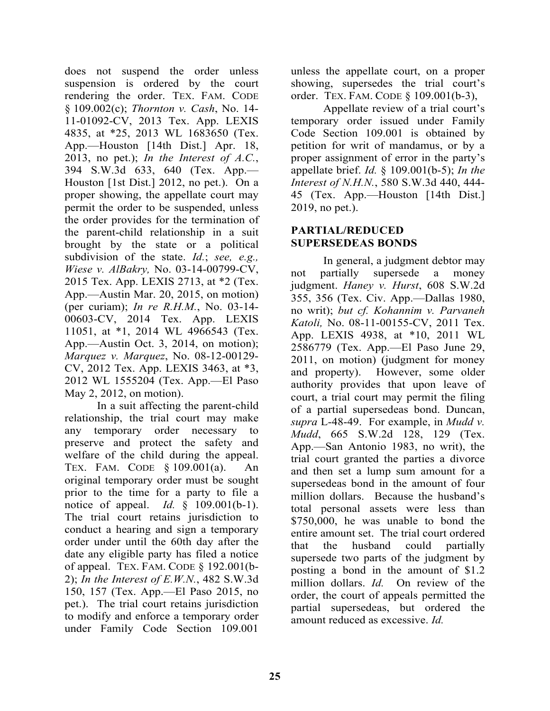does not suspend the order unless suspension is ordered by the court rendering the order. TEX. FAM. CODE § 109.002(c); *Thornton v. Cash*, No. 14- 11-01092-CV, 2013 Tex. App. LEXIS 4835, at \*25, 2013 WL 1683650 (Tex. App.—Houston [14th Dist.] Apr. 18, 2013, no pet.); *In the Interest of A.C.*, 394 S.W.3d 633, 640 (Tex. App.— Houston [1st Dist.] 2012, no pet.). On a proper showing, the appellate court may permit the order to be suspended, unless the order provides for the termination of the parent-child relationship in a suit brought by the state or a political subdivision of the state. *Id.*; *see, e.g., Wiese v. AlBakry,* No. 03-14-00799-CV, 2015 Tex. App. LEXIS 2713, at \*2 (Tex. App.—Austin Mar. 20, 2015, on motion) (per curiam); *In re R.H.M.*, No. 03-14- 00603-CV, 2014 Tex. App. LEXIS 11051, at \*1, 2014 WL 4966543 (Tex. App.—Austin Oct. 3, 2014, on motion); *Marquez v. Marquez*, No. 08-12-00129- CV, 2012 Tex. App. LEXIS 3463, at \*3, 2012 WL 1555204 (Tex. App.—El Paso May 2, 2012, on motion).

 In a suit affecting the parent-child relationship, the trial court may make any temporary order necessary to preserve and protect the safety and welfare of the child during the appeal. TEX. FAM. CODE § 109.001(a). An original temporary order must be sought prior to the time for a party to file a notice of appeal. *Id.* § 109.001(b-1). The trial court retains jurisdiction to conduct a hearing and sign a temporary order under until the 60th day after the date any eligible party has filed a notice of appeal. TEX. FAM. CODE § 192.001(b-2); *In the Interest of E.W.N.*, 482 S.W.3d 150, 157 (Tex. App.—El Paso 2015, no pet.). The trial court retains jurisdiction to modify and enforce a temporary order under Family Code Section 109.001

unless the appellate court, on a proper showing, supersedes the trial court's order. TEX. FAM. CODE § 109.001(b-3),

 Appellate review of a trial court's temporary order issued under Family Code Section 109.001 is obtained by petition for writ of mandamus, or by a proper assignment of error in the party's appellate brief. *Id.* § 109.001(b-5); *In the Interest of N.H.N.*, 580 S.W.3d 440, 444- 45 (Tex. App.—Houston [14th Dist.] 2019, no pet.).

#### **PARTIAL/REDUCED SUPERSEDEAS BONDS**

 In general, a judgment debtor may not partially supersede a money judgment. *Haney v. Hurst*, 608 S.W.2d 355, 356 (Tex. Civ. App.—Dallas 1980, no writ); *but cf. Kohannim v. Parvaneh Katoli,* No. 08-11-00155-CV, 2011 Tex. App. LEXIS 4938, at \*10, 2011 WL 2586779 (Tex. App.—El Paso June 29, 2011, on motion) (judgment for money and property). However, some older authority provides that upon leave of court, a trial court may permit the filing of a partial supersedeas bond. Duncan, *supra* L-48-49. For example, in *Mudd v. Mudd*, 665 S.W.2d 128, 129 (Tex. App.—San Antonio 1983, no writ), the trial court granted the parties a divorce and then set a lump sum amount for a supersedeas bond in the amount of four million dollars. Because the husband's total personal assets were less than \$750,000, he was unable to bond the entire amount set. The trial court ordered that the husband could partially supersede two parts of the judgment by posting a bond in the amount of \$1.2 million dollars. *Id.* On review of the order, the court of appeals permitted the partial supersedeas, but ordered the amount reduced as excessive. *Id.*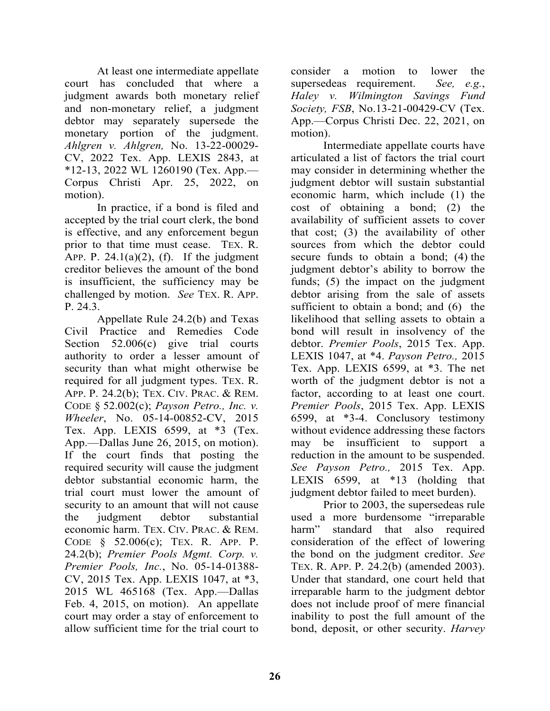At least one intermediate appellate court has concluded that where a judgment awards both monetary relief and non-monetary relief, a judgment debtor may separately supersede the monetary portion of the judgment. *Ahlgren v. Ahlgren,* No. 13-22-00029- CV, 2022 Tex. App. LEXIS 2843, at \*12-13, 2022 WL 1260190 (Tex. App.— Corpus Christi Apr. 25, 2022, on motion).

 In practice, if a bond is filed and accepted by the trial court clerk, the bond is effective, and any enforcement begun prior to that time must cease. TEX. R. APP. P.  $24.1(a)(2)$ , (f). If the judgment creditor believes the amount of the bond is insufficient, the sufficiency may be challenged by motion. *See* TEX. R. APP. P. 24.3.

 Appellate Rule 24.2(b) and Texas Civil Practice and Remedies Code Section 52.006(c) give trial courts authority to order a lesser amount of security than what might otherwise be required for all judgment types. TEX. R. APP. P. 24.2(b); TEX. CIV. PRAC. & REM. CODE § 52.002(c); *Payson Petro., Inc. v. Wheeler*, No. 05-14-00852-CV, 2015 Tex. App. LEXIS 6599, at \*3 (Tex. App.—Dallas June 26, 2015, on motion). If the court finds that posting the required security will cause the judgment debtor substantial economic harm, the trial court must lower the amount of security to an amount that will not cause the judgment debtor substantial economic harm. TEX. CIV. PRAC. & REM. CODE § 52.006(c); TEX. R. APP. P. 24.2(b); *Premier Pools Mgmt. Corp. v. Premier Pools, Inc.*, No. 05-14-01388- CV, 2015 Tex. App. LEXIS 1047, at \*3, 2015 WL 465168 (Tex. App.—Dallas Feb. 4, 2015, on motion). An appellate court may order a stay of enforcement to allow sufficient time for the trial court to

consider a motion to lower the supersedeas requirement. *See, e.g.*, *Haley v. Wilmington Savings Fund Society, FSB*, No.13-21-00429-CV (Tex. App.—Corpus Christi Dec. 22, 2021, on motion).

 Intermediate appellate courts have articulated a list of factors the trial court may consider in determining whether the judgment debtor will sustain substantial economic harm, which include (1) the cost of obtaining a bond; (2) the availability of sufficient assets to cover that cost; (3) the availability of other sources from which the debtor could secure funds to obtain a bond; (4) the judgment debtor's ability to borrow the funds; (5) the impact on the judgment debtor arising from the sale of assets sufficient to obtain a bond; and  $(6)$  the likelihood that selling assets to obtain a bond will result in insolvency of the debtor. *Premier Pools*, 2015 Tex. App. LEXIS 1047, at \*4. *Payson Petro.,* 2015 Tex. App. LEXIS 6599, at \*3. The net worth of the judgment debtor is not a factor, according to at least one court. *Premier Pools*, 2015 Tex. App. LEXIS 6599, at \*3-4. Conclusory testimony without evidence addressing these factors may be insufficient to support a reduction in the amount to be suspended. *See Payson Petro.,* 2015 Tex. App. LEXIS 6599, at \*13 (holding that judgment debtor failed to meet burden).

 Prior to 2003, the supersedeas rule used a more burdensome "irreparable harm" standard that also required consideration of the effect of lowering the bond on the judgment creditor. *See* TEX. R. APP. P. 24.2(b) (amended 2003). Under that standard, one court held that irreparable harm to the judgment debtor does not include proof of mere financial inability to post the full amount of the bond, deposit, or other security. *Harvey*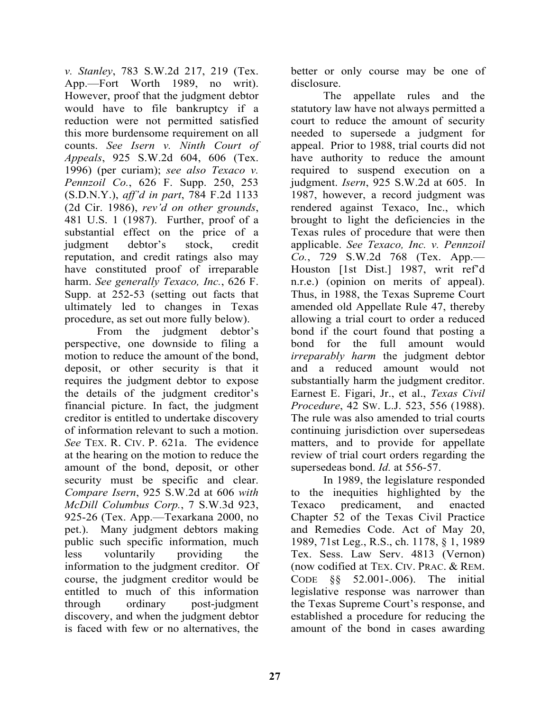*v. Stanley*, 783 S.W.2d 217, 219 (Tex. App.—Fort Worth 1989, no writ). However, proof that the judgment debtor would have to file bankruptcy if a reduction were not permitted satisfied this more burdensome requirement on all counts. *See Isern v. Ninth Court of Appeals*, 925 S.W.2d 604, 606 (Tex. 1996) (per curiam); *see also Texaco v. Pennzoil Co.*, 626 F. Supp. 250, 253 (S.D.N.Y.), *aff'd in part*, 784 F.2d 1133 (2d Cir. 1986), *rev'd on other grounds*, 481 U.S. 1 (1987). Further, proof of a substantial effect on the price of a judgment debtor's stock, credit reputation, and credit ratings also may have constituted proof of irreparable harm. *See generally Texaco, Inc.*, 626 F. Supp. at 252-53 (setting out facts that ultimately led to changes in Texas procedure, as set out more fully below).

 From the judgment debtor's perspective, one downside to filing a motion to reduce the amount of the bond, deposit, or other security is that it requires the judgment debtor to expose the details of the judgment creditor's financial picture. In fact, the judgment creditor is entitled to undertake discovery of information relevant to such a motion. *See* TEX. R. CIV. P. 621a. The evidence at the hearing on the motion to reduce the amount of the bond, deposit, or other security must be specific and clear. *Compare Isern*, 925 S.W.2d at 606 *with McDill Columbus Corp.*, 7 S.W.3d 923, 925-26 (Tex. App.—Texarkana 2000, no pet.). Many judgment debtors making public such specific information, much less voluntarily providing the information to the judgment creditor. Of course, the judgment creditor would be entitled to much of this information through ordinary post-judgment discovery, and when the judgment debtor is faced with few or no alternatives, the

better or only course may be one of disclosure.

 The appellate rules and the statutory law have not always permitted a court to reduce the amount of security needed to supersede a judgment for appeal. Prior to 1988, trial courts did not have authority to reduce the amount required to suspend execution on a judgment. *Isern*, 925 S.W.2d at 605. In 1987, however, a record judgment was rendered against Texaco, Inc., which brought to light the deficiencies in the Texas rules of procedure that were then applicable. *See Texaco, Inc. v. Pennzoil Co.*, 729 S.W.2d 768 (Tex. App.— Houston [1st Dist.] 1987, writ ref'd n.r.e.) (opinion on merits of appeal). Thus, in 1988, the Texas Supreme Court amended old Appellate Rule 47, thereby allowing a trial court to order a reduced bond if the court found that posting a bond for the full amount would *irreparably harm* the judgment debtor and a reduced amount would not substantially harm the judgment creditor. Earnest E. Figari, Jr., et al., *Texas Civil Procedure*, 42 SW. L.J. 523, 556 (1988). The rule was also amended to trial courts continuing jurisdiction over supersedeas matters, and to provide for appellate review of trial court orders regarding the supersedeas bond. *Id.* at 556-57.

 In 1989, the legislature responded to the inequities highlighted by the Texaco predicament, and enacted Chapter 52 of the Texas Civil Practice and Remedies Code. Act of May 20, 1989, 71st Leg., R.S., ch. 1178, § 1, 1989 Tex. Sess. Law Serv. 4813 (Vernon) (now codified at TEX. CIV. PRAC. & REM. CODE §§ 52.001-.006). The initial legislative response was narrower than the Texas Supreme Court's response, and established a procedure for reducing the amount of the bond in cases awarding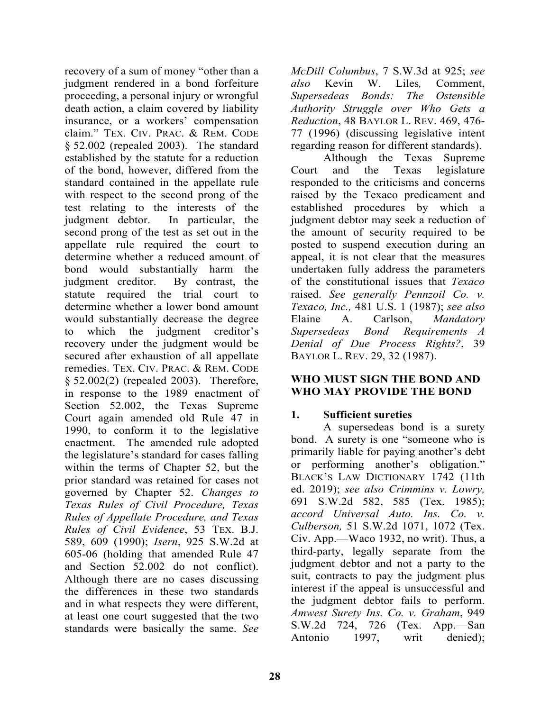recovery of a sum of money "other than a judgment rendered in a bond forfeiture proceeding, a personal injury or wrongful death action, a claim covered by liability insurance, or a workers' compensation claim." TEX. CIV. PRAC. & REM. CODE § 52.002 (repealed 2003). The standard established by the statute for a reduction of the bond, however, differed from the standard contained in the appellate rule with respect to the second prong of the test relating to the interests of the judgment debtor. In particular, the second prong of the test as set out in the appellate rule required the court to determine whether a reduced amount of bond would substantially harm the judgment creditor. By contrast, the statute required the trial court to determine whether a lower bond amount would substantially decrease the degree to which the judgment creditor's recovery under the judgment would be secured after exhaustion of all appellate remedies. TEX. CIV. PRAC. & REM. CODE § 52.002(2) (repealed 2003). Therefore, in response to the 1989 enactment of Section 52.002, the Texas Supreme Court again amended old Rule 47 in 1990, to conform it to the legislative enactment. The amended rule adopted the legislature's standard for cases falling within the terms of Chapter 52, but the prior standard was retained for cases not governed by Chapter 52. *Changes to Texas Rules of Civil Procedure, Texas Rules of Appellate Procedure, and Texas Rules of Civil Evidence*, 53 TEX. B.J. 589, 609 (1990); *Isern*, 925 S.W.2d at 605-06 (holding that amended Rule 47 and Section 52.002 do not conflict). Although there are no cases discussing the differences in these two standards and in what respects they were different, at least one court suggested that the two standards were basically the same. *See* 

*McDill Columbus*, 7 S.W.3d at 925; *see also* Kevin W. Liles*,* Comment, *Supersedeas Bonds: The Ostensible Authority Struggle over Who Gets a Reduction*, 48 BAYLOR L. REV. 469, 476- 77 (1996) (discussing legislative intent regarding reason for different standards).

 Although the Texas Supreme Court and the Texas legislature responded to the criticisms and concerns raised by the Texaco predicament and established procedures by which a judgment debtor may seek a reduction of the amount of security required to be posted to suspend execution during an appeal, it is not clear that the measures undertaken fully address the parameters of the constitutional issues that *Texaco* raised. *See generally Pennzoil Co. v. Texaco, Inc.,* 481 U.S. 1 (1987); *see also*  Elaine A. Carlson, *Mandatory Supersedeas Bond Requirements—A Denial of Due Process Rights?*, 39 BAYLOR L. REV. 29, 32 (1987).

#### **WHO MUST SIGN THE BOND AND WHO MAY PROVIDE THE BOND**

# **1. Sufficient sureties**

 A supersedeas bond is a surety bond. A surety is one "someone who is primarily liable for paying another's debt or performing another's obligation." BLACK'S LAW DICTIONARY 1742 (11th ed. 2019); *see also Crimmins v. Lowry,*  691 S.W.2d 582, 585 (Tex. 1985); *accord Universal Auto. Ins. Co. v. Culberson,* 51 S.W.2d 1071, 1072 (Tex. Civ. App.—Waco 1932, no writ). Thus, a third-party, legally separate from the judgment debtor and not a party to the suit, contracts to pay the judgment plus interest if the appeal is unsuccessful and the judgment debtor fails to perform. *Amwest Surety Ins. Co. v. Graham*, 949 S.W.2d 724, 726 (Tex. App.—San Antonio 1997, writ denied);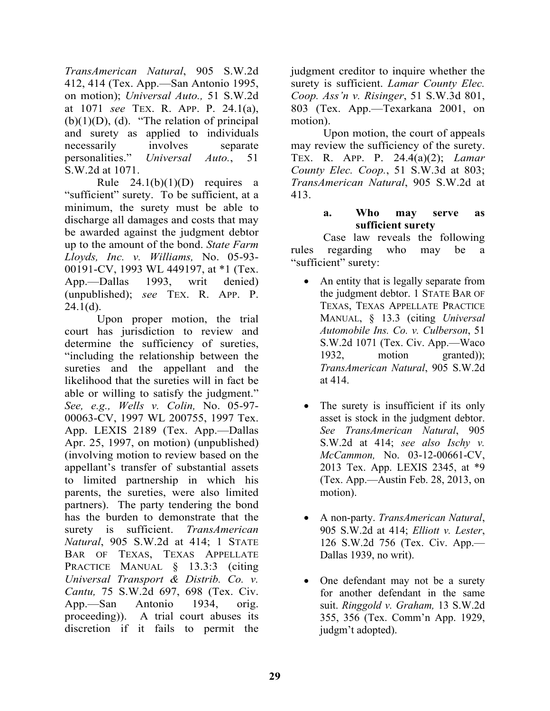*TransAmerican Natural*, 905 S.W.2d 412, 414 (Tex. App.—San Antonio 1995, on motion); *Universal Auto.,* 51 S.W.2d at 1071 *see* TEX. R. APP. P. 24.1(a),  $(b)(1)(D)$ , (d). "The relation of principal and surety as applied to individuals necessarily involves separate personalities." *Universal Auto.*, 51 S.W.2d at 1071.

Rule  $24.1(b)(1)(D)$  requires a "sufficient" surety. To be sufficient, at a minimum, the surety must be able to discharge all damages and costs that may be awarded against the judgment debtor up to the amount of the bond. *State Farm Lloyds, Inc. v. Williams,* No. 05-93- 00191-CV, 1993 WL 449197, at \*1 (Tex. App.—Dallas 1993, writ denied) (unpublished); *see* TEX. R. APP. P.  $24.1(d)$ .

 Upon proper motion, the trial court has jurisdiction to review and determine the sufficiency of sureties, "including the relationship between the sureties and the appellant and the likelihood that the sureties will in fact be able or willing to satisfy the judgment." *See, e.g., Wells v. Colin,* No. 05-97- 00063-CV, 1997 WL 200755, 1997 Tex. App. LEXIS 2189 (Tex. App.—Dallas Apr. 25, 1997, on motion) (unpublished) (involving motion to review based on the appellant's transfer of substantial assets to limited partnership in which his parents, the sureties, were also limited partners). The party tendering the bond has the burden to demonstrate that the surety is sufficient. *TransAmerican Natural*, 905 S.W.2d at 414; 1 STATE BAR OF TEXAS, TEXAS APPELLATE PRACTICE MANUAL § 13.3:3 (citing *Universal Transport & Distrib. Co. v. Cantu,* 75 S.W.2d 697, 698 (Tex. Civ. App.—San Antonio 1934, orig. proceeding)). A trial court abuses its discretion if it fails to permit the

judgment creditor to inquire whether the surety is sufficient. *Lamar County Elec. Coop. Ass'n v. Risinger*, 51 S.W.3d 801, 803 (Tex. App.—Texarkana 2001, on motion).

 Upon motion, the court of appeals may review the sufficiency of the surety. TEX. R. APP. P. 24.4(a)(2); *Lamar County Elec. Coop.*, 51 S.W.3d at 803; *TransAmerican Natural*, 905 S.W.2d at 413.

#### **a. Who may serve as sufficient surety**

Case law reveals the following rules regarding who may be a "sufficient" surety:

- An entity that is legally separate from the judgment debtor. 1 STATE BAR OF TEXAS, TEXAS APPELLATE PRACTICE MANUAL, § 13.3 (citing *Universal Automobile Ins. Co. v. Culberson*, 51 S.W.2d 1071 (Tex. Civ. App.—Waco 1932, motion granted)); *TransAmerican Natural*, 905 S.W.2d at 414.
- The surety is insufficient if its only asset is stock in the judgment debtor. *See TransAmerican Natural*, 905 S.W.2d at 414; *see also Ischy v. McCammon,* No. 03-12-00661-CV, 2013 Tex. App. LEXIS 2345, at \*9 (Tex. App.—Austin Feb. 28, 2013, on motion).
- A non-party. *TransAmerican Natural*, 905 S.W.2d at 414; *Elliott v. Lester*, 126 S.W.2d 756 (Tex. Civ. App.— Dallas 1939, no writ).
- One defendant may not be a surety for another defendant in the same suit. *Ringgold v. Graham,* 13 S.W.2d 355, 356 (Tex. Comm'n App. 1929, judgm't adopted).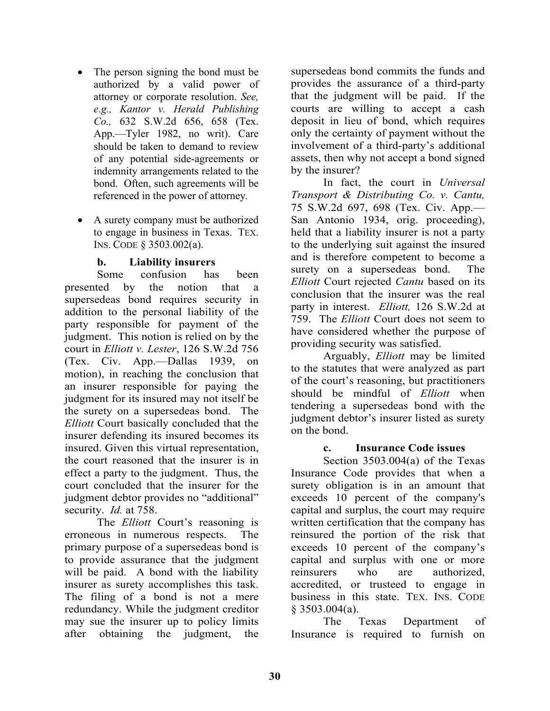- The person signing the bond must be authorized by a valid power of attorney or corporate resolution. *See, e.g., Kantor v. Herald Publishing Co.,* 632 S.W.2d 656, 658 (Tex. App.—Tyler 1982, no writ). Care should be taken to demand to review of any potential side-agreements or indemnity arrangements related to the bond. Often, such agreements will be referenced in the power of attorney*.*
- A surety company must be authorized to engage in business in Texas. TEX. INS. CODE § 3503.002(a).

# **b. Liability insurers**

 Some confusion has been presented by the notion that a supersedeas bond requires security in addition to the personal liability of the party responsible for payment of the judgment. This notion is relied on by the court in *Elliott v. Lester*, 126 S.W.2d 756 (Tex. Civ. App.—Dallas 1939, on motion), in reaching the conclusion that an insurer responsible for paying the judgment for its insured may not itself be the surety on a supersedeas bond. The *Elliott* Court basically concluded that the insurer defending its insured becomes its insured. Given this virtual representation, the court reasoned that the insurer is in effect a party to the judgment. Thus, the court concluded that the insurer for the judgment debtor provides no "additional" security. *Id.* at 758.

 The *Elliott* Court's reasoning is erroneous in numerous respects. The primary purpose of a supersedeas bond is to provide assurance that the judgment will be paid. A bond with the liability insurer as surety accomplishes this task. The filing of a bond is not a mere redundancy. While the judgment creditor may sue the insurer up to policy limits after obtaining the judgment, the

supersedeas bond commits the funds and provides the assurance of a third-party that the judgment will be paid. If the courts are willing to accept a cash deposit in lieu of bond, which requires only the certainty of payment without the involvement of a third-party's additional assets, then why not accept a bond signed by the insurer?

 In fact, the court in *Universal Transport & Distributing Co. v. Cantu,* 75 S.W.2d 697, 698 (Tex. Civ. App.— San Antonio 1934, orig. proceeding), held that a liability insurer is not a party to the underlying suit against the insured and is therefore competent to become a surety on a supersedeas bond. The *Elliott* Court rejected *Cantu* based on its conclusion that the insurer was the real party in interest. *Elliott,* 126 S.W.2d at 759. The *Elliott* Court does not seem to have considered whether the purpose of providing security was satisfied.

 Arguably, *Elliott* may be limited to the statutes that were analyzed as part of the court's reasoning, but practitioners should be mindful of *Elliott* when tendering a supersedeas bond with the judgment debtor's insurer listed as surety on the bond.

#### **c. Insurance Code issues**

 Section 3503.004(a) of the Texas Insurance Code provides that when a surety obligation is in an amount that exceeds 10 percent of the company's capital and surplus, the court may require written certification that the company has reinsured the portion of the risk that exceeds 10 percent of the company's capital and surplus with one or more reinsurers who are authorized, accredited, or trusteed to engage in business in this state. TEX. INS. CODE § 3503.004(a).

 The Texas Department of Insurance is required to furnish on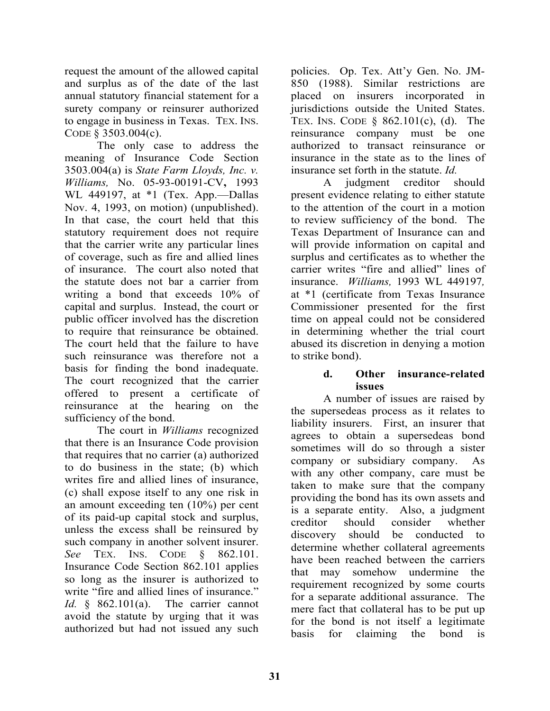request the amount of the allowed capital and surplus as of the date of the last annual statutory financial statement for a surety company or reinsurer authorized to engage in business in Texas. TEX. INS. CODE § 3503.004(c).

 The only case to address the meaning of Insurance Code Section 3503.004(a) is *State Farm Lloyds, Inc. v. Williams,* No. 05-93-00191-CV**,** 1993 WL 449197, at \*1 (Tex. App.—Dallas Nov. 4, 1993, on motion) (unpublished). In that case, the court held that this statutory requirement does not require that the carrier write any particular lines of coverage, such as fire and allied lines of insurance. The court also noted that the statute does not bar a carrier from writing a bond that exceeds 10% of capital and surplus. Instead, the court or public officer involved has the discretion to require that reinsurance be obtained. The court held that the failure to have such reinsurance was therefore not a basis for finding the bond inadequate. The court recognized that the carrier offered to present a certificate of reinsurance at the hearing on the sufficiency of the bond.

 The court in *Williams* recognized that there is an Insurance Code provision that requires that no carrier (a) authorized to do business in the state; (b) which writes fire and allied lines of insurance, (c) shall expose itself to any one risk in an amount exceeding ten (10%) per cent of its paid-up capital stock and surplus, unless the excess shall be reinsured by such company in another solvent insurer. *See* TEX. INS. CODE § 862.101. Insurance Code Section 862.101 applies so long as the insurer is authorized to write "fire and allied lines of insurance." *Id.* § 862.101(a). The carrier cannot avoid the statute by urging that it was authorized but had not issued any such

policies. Op. Tex. Att'y Gen. No. JM-850 (1988). Similar restrictions are placed on insurers incorporated in jurisdictions outside the United States. TEX. INS. CODE § 862.101(c), (d). The reinsurance company must be one authorized to transact reinsurance or insurance in the state as to the lines of insurance set forth in the statute. *Id.*

 A judgment creditor should present evidence relating to either statute to the attention of the court in a motion to review sufficiency of the bond. The Texas Department of Insurance can and will provide information on capital and surplus and certificates as to whether the carrier writes "fire and allied" lines of insurance. *Williams,* 1993 WL 449197*,*  at \*1 (certificate from Texas Insurance Commissioner presented for the first time on appeal could not be considered in determining whether the trial court abused its discretion in denying a motion to strike bond).

#### **d. Other insurance-related issues**

 A number of issues are raised by the supersedeas process as it relates to liability insurers. First, an insurer that agrees to obtain a supersedeas bond sometimes will do so through a sister company or subsidiary company. As with any other company, care must be taken to make sure that the company providing the bond has its own assets and is a separate entity. Also, a judgment creditor should consider whether discovery should be conducted to determine whether collateral agreements have been reached between the carriers that may somehow undermine the requirement recognized by some courts for a separate additional assurance. The mere fact that collateral has to be put up for the bond is not itself a legitimate basis for claiming the bond is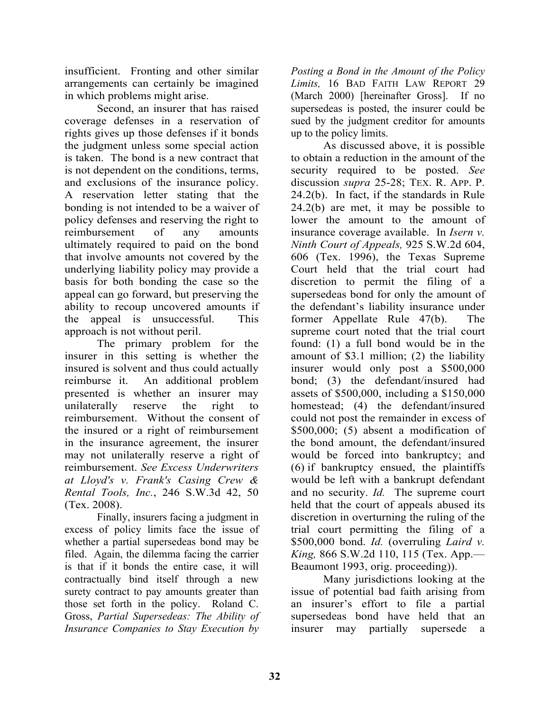insufficient. Fronting and other similar arrangements can certainly be imagined in which problems might arise.

 Second, an insurer that has raised coverage defenses in a reservation of rights gives up those defenses if it bonds the judgment unless some special action is taken. The bond is a new contract that is not dependent on the conditions, terms, and exclusions of the insurance policy. A reservation letter stating that the bonding is not intended to be a waiver of policy defenses and reserving the right to reimbursement of any amounts ultimately required to paid on the bond that involve amounts not covered by the underlying liability policy may provide a basis for both bonding the case so the appeal can go forward, but preserving the ability to recoup uncovered amounts if the appeal is unsuccessful. This approach is not without peril.

 The primary problem for the insurer in this setting is whether the insured is solvent and thus could actually reimburse it. An additional problem presented is whether an insurer may unilaterally reserve the right to reimbursement. Without the consent of the insured or a right of reimbursement in the insurance agreement, the insurer may not unilaterally reserve a right of reimbursement. *See Excess Underwriters at Lloyd's v. Frank's Casing Crew & Rental Tools, Inc.*, 246 S.W.3d 42, 50 (Tex. 2008).

 Finally, insurers facing a judgment in excess of policy limits face the issue of whether a partial supersedeas bond may be filed. Again, the dilemma facing the carrier is that if it bonds the entire case, it will contractually bind itself through a new surety contract to pay amounts greater than those set forth in the policy. Roland C. Gross, *Partial Supersedeas: The Ability of Insurance Companies to Stay Execution by* 

*Posting a Bond in the Amount of the Policy Limits,* 16 BAD FAITH LAW REPORT 29 (March 2000) [hereinafter Gross]. If no supersedeas is posted, the insurer could be sued by the judgment creditor for amounts up to the policy limits.

 As discussed above, it is possible to obtain a reduction in the amount of the security required to be posted. *See*  discussion *supra* 25-28; TEX. R. APP. P. 24.2(b). In fact, if the standards in Rule 24.2(b) are met, it may be possible to lower the amount to the amount of insurance coverage available. In *Isern v. Ninth Court of Appeals,* 925 S.W.2d 604, 606 (Tex. 1996), the Texas Supreme Court held that the trial court had discretion to permit the filing of a supersedeas bond for only the amount of the defendant's liability insurance under former Appellate Rule 47(b). The supreme court noted that the trial court found: (1) a full bond would be in the amount of \$3.1 million; (2) the liability insurer would only post a \$500,000 bond; (3) the defendant/insured had assets of \$500,000, including a \$150,000 homestead; (4) the defendant/insured could not post the remainder in excess of \$500,000; (5) absent a modification of the bond amount, the defendant/insured would be forced into bankruptcy; and (6) if bankruptcy ensued, the plaintiffs would be left with a bankrupt defendant and no security. *Id.* The supreme court held that the court of appeals abused its discretion in overturning the ruling of the trial court permitting the filing of a \$500,000 bond. *Id.* (overruling *Laird v. King,* 866 S.W.2d 110, 115 (Tex. App.— Beaumont 1993, orig. proceeding)).

 Many jurisdictions looking at the issue of potential bad faith arising from an insurer's effort to file a partial supersedeas bond have held that an insurer may partially supersede a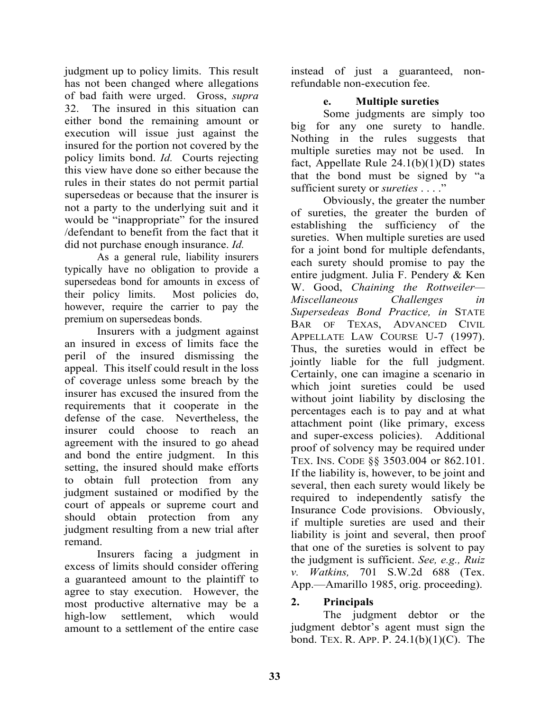judgment up to policy limits. This result has not been changed where allegations of bad faith were urged. Gross, *supra* 32. The insured in this situation can either bond the remaining amount or execution will issue just against the insured for the portion not covered by the policy limits bond. *Id.* Courts rejecting this view have done so either because the rules in their states do not permit partial supersedeas or because that the insurer is not a party to the underlying suit and it would be "inappropriate" for the insured /defendant to benefit from the fact that it did not purchase enough insurance. *Id.*

 As a general rule, liability insurers typically have no obligation to provide a supersedeas bond for amounts in excess of their policy limits. Most policies do, however, require the carrier to pay the premium on supersedeas bonds.

 Insurers with a judgment against an insured in excess of limits face the peril of the insured dismissing the appeal. This itself could result in the loss of coverage unless some breach by the insurer has excused the insured from the requirements that it cooperate in the defense of the case. Nevertheless, the insurer could choose to reach an agreement with the insured to go ahead and bond the entire judgment. In this setting, the insured should make efforts to obtain full protection from any judgment sustained or modified by the court of appeals or supreme court and should obtain protection from any judgment resulting from a new trial after remand.

 Insurers facing a judgment in excess of limits should consider offering a guaranteed amount to the plaintiff to agree to stay execution. However, the most productive alternative may be a high-low settlement, which would amount to a settlement of the entire case

instead of just a guaranteed, nonrefundable non-execution fee.

# **e. Multiple sureties**

 Some judgments are simply too big for any one surety to handle. Nothing in the rules suggests that multiple sureties may not be used. In fact, Appellate Rule  $24.1(b)(1)(D)$  states that the bond must be signed by "a sufficient surety or *sureties* . . . ."

 Obviously, the greater the number of sureties, the greater the burden of establishing the sufficiency of the sureties. When multiple sureties are used for a joint bond for multiple defendants, each surety should promise to pay the entire judgment. Julia F. Pendery & Ken W. Good, *Chaining the Rottweiler— Miscellaneous Challenges in Supersedeas Bond Practice, in* STATE BAR OF TEXAS, ADVANCED CIVIL APPELLATE LAW COURSE U-7 (1997). Thus, the sureties would in effect be jointly liable for the full judgment. Certainly, one can imagine a scenario in which joint sureties could be used without joint liability by disclosing the percentages each is to pay and at what attachment point (like primary, excess and super-excess policies). Additional proof of solvency may be required under TEX. INS. CODE §§ 3503.004 or 862.101. If the liability is, however, to be joint and several, then each surety would likely be required to independently satisfy the Insurance Code provisions. Obviously, if multiple sureties are used and their liability is joint and several, then proof that one of the sureties is solvent to pay the judgment is sufficient. *See, e.g., Ruiz v. Watkins,* 701 S.W.2d 688 (Tex. App.—Amarillo 1985, orig. proceeding).

# **2. Principals**

The judgment debtor or the judgment debtor's agent must sign the bond. TEX. R. APP. P. 24.1(b)(1)(C). The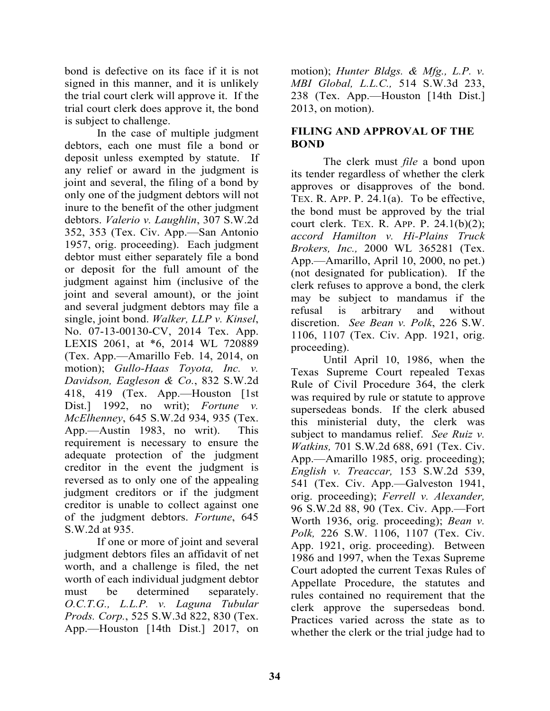bond is defective on its face if it is not signed in this manner, and it is unlikely the trial court clerk will approve it. If the trial court clerk does approve it, the bond is subject to challenge.

 In the case of multiple judgment debtors, each one must file a bond or deposit unless exempted by statute. If any relief or award in the judgment is joint and several, the filing of a bond by only one of the judgment debtors will not inure to the benefit of the other judgment debtors. *Valerio v. Laughlin*, 307 S.W.2d 352, 353 (Tex. Civ. App.—San Antonio 1957, orig. proceeding). Each judgment debtor must either separately file a bond or deposit for the full amount of the judgment against him (inclusive of the joint and several amount), or the joint and several judgment debtors may file a single, joint bond. *Walker, LLP v. Kinsel*, No. 07-13-00130-CV, 2014 Tex. App. LEXIS 2061, at \*6, 2014 WL 720889 (Tex. App.—Amarillo Feb. 14, 2014, on motion); *Gullo-Haas Toyota, Inc. v. Davidson, Eagleson & Co.*, 832 S.W.2d 418, 419 (Tex. App.—Houston [1st Dist.] 1992, no writ); *Fortune v. McElhenney*, 645 S.W.2d 934, 935 (Tex. App.—Austin 1983, no writ). This requirement is necessary to ensure the adequate protection of the judgment creditor in the event the judgment is reversed as to only one of the appealing judgment creditors or if the judgment creditor is unable to collect against one of the judgment debtors. *Fortune*, 645 S.W.2d at 935.

 If one or more of joint and several judgment debtors files an affidavit of net worth, and a challenge is filed, the net worth of each individual judgment debtor must be determined separately. *O.C.T.G., L.L.P. v. Laguna Tubular Prods. Corp.*, 525 S.W.3d 822, 830 (Tex. App.—Houston [14th Dist.] 2017, on motion); *Hunter Bldgs. & Mfg., L.P. v. MBI Global, L.L.C.,* 514 S.W.3d 233, 238 (Tex. App.—Houston [14th Dist.] 2013, on motion).

# **FILING AND APPROVAL OF THE BOND**

 The clerk must *file* a bond upon its tender regardless of whether the clerk approves or disapproves of the bond. TEX. R. APP. P. 24.1(a). To be effective, the bond must be approved by the trial court clerk. TEX. R. APP. P. 24.1(b)(2); *accord Hamilton v. Hi-Plains Truck Brokers, Inc.,* 2000 WL 365281 (Tex. App.—Amarillo, April 10, 2000, no pet.) (not designated for publication). If the clerk refuses to approve a bond, the clerk may be subject to mandamus if the refusal is arbitrary and without discretion. *See Bean v. Polk*, 226 S.W. 1106, 1107 (Tex. Civ. App. 1921, orig. proceeding).

 Until April 10, 1986, when the Texas Supreme Court repealed Texas Rule of Civil Procedure 364, the clerk was required by rule or statute to approve supersedeas bonds. If the clerk abused this ministerial duty, the clerk was subject to mandamus relief. *See Ruiz v. Watkins,* 701 S.W.2d 688, 691 (Tex. Civ. App.—Amarillo 1985, orig. proceeding); *English v. Treaccar,* 153 S.W.2d 539, 541 (Tex. Civ. App.—Galveston 1941, orig. proceeding); *Ferrell v. Alexander,*  96 S.W.2d 88, 90 (Tex. Civ. App.—Fort Worth 1936, orig. proceeding); *Bean v. Polk,* 226 S.W. 1106, 1107 (Tex. Civ. App. 1921, orig. proceeding). Between 1986 and 1997, when the Texas Supreme Court adopted the current Texas Rules of Appellate Procedure, the statutes and rules contained no requirement that the clerk approve the supersedeas bond. Practices varied across the state as to whether the clerk or the trial judge had to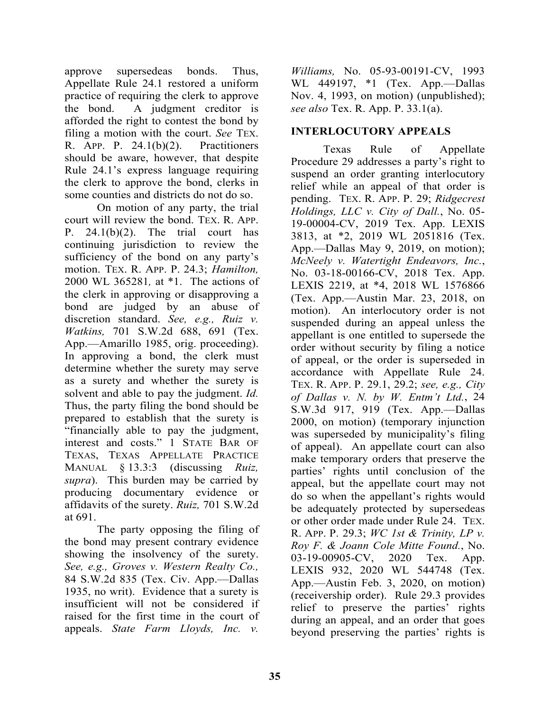approve supersedeas bonds. Thus, Appellate Rule 24.1 restored a uniform practice of requiring the clerk to approve the bond. A judgment creditor is afforded the right to contest the bond by filing a motion with the court. *See* TEX. R. APP. P. 24.1(b)(2). Practitioners should be aware, however, that despite Rule 24.1's express language requiring the clerk to approve the bond, clerks in some counties and districts do not do so.

 On motion of any party, the trial court will review the bond. TEX. R. APP. P.  $24.1(b)(2)$ . The trial court has continuing jurisdiction to review the sufficiency of the bond on any party's motion. TEX. R. APP. P. 24.3; *Hamilton,*  2000 WL 365281*,* at \*1. The actions of the clerk in approving or disapproving a bond are judged by an abuse of discretion standard. *See, e.g., Ruiz v. Watkins,* 701 S.W.2d 688, 691 (Tex. App.—Amarillo 1985, orig. proceeding). In approving a bond, the clerk must determine whether the surety may serve as a surety and whether the surety is solvent and able to pay the judgment. *Id.*  Thus, the party filing the bond should be prepared to establish that the surety is "financially able to pay the judgment, interest and costs." 1 STATE BAR OF TEXAS, TEXAS APPELLATE PRACTICE MANUAL § 13.3:3 (discussing *Ruiz, supra*). This burden may be carried by producing documentary evidence or affidavits of the surety. *Ruiz,* 701 S.W.2d at 691.

 The party opposing the filing of the bond may present contrary evidence showing the insolvency of the surety. *See, e.g., Groves v. Western Realty Co.,*  84 S.W.2d 835 (Tex. Civ. App.—Dallas 1935, no writ). Evidence that a surety is insufficient will not be considered if raised for the first time in the court of appeals. *State Farm Lloyds, Inc. v.* 

*Williams,* No. 05-93-00191-CV, 1993 WL 449197, \*1 (Tex. App.—Dallas Nov. 4, 1993, on motion) (unpublished); *see also* Tex. R. App. P. 33.1(a).

# **INTERLOCUTORY APPEALS**

 Texas Rule of Appellate Procedure 29 addresses a party's right to suspend an order granting interlocutory relief while an appeal of that order is pending. TEX. R. APP. P. 29; *Ridgecrest Holdings, LLC v. City of Dall.*, No. 05- 19-00004-CV, 2019 Tex. App. LEXIS 3813, at \*2, 2019 WL 2051816 (Tex. App.—Dallas May 9, 2019, on motion); *McNeely v. Watertight Endeavors, Inc.*, No. 03-18-00166-CV, 2018 Tex. App. LEXIS 2219, at \*4, 2018 WL 1576866 (Tex. App.—Austin Mar. 23, 2018, on motion). An interlocutory order is not suspended during an appeal unless the appellant is one entitled to supersede the order without security by filing a notice of appeal, or the order is superseded in accordance with Appellate Rule 24. TEX. R. APP. P. 29.1, 29.2; *see, e.g., City of Dallas v. N. by W. Entm't Ltd.*, 24 S.W.3d 917, 919 (Tex. App.—Dallas 2000, on motion) (temporary injunction was superseded by municipality's filing of appeal). An appellate court can also make temporary orders that preserve the parties' rights until conclusion of the appeal, but the appellate court may not do so when the appellant's rights would be adequately protected by supersedeas or other order made under Rule 24. TEX. R. APP. P. 29.3; *WC 1st & Trinity, LP v. Roy F. & Joann Cole Mitte Found.*, No. 03-19-00905-CV, 2020 Tex. App. LEXIS 932, 2020 WL 544748 (Tex. App.—Austin Feb. 3, 2020, on motion) (receivership order). Rule 29.3 provides relief to preserve the parties' rights during an appeal, and an order that goes beyond preserving the parties' rights is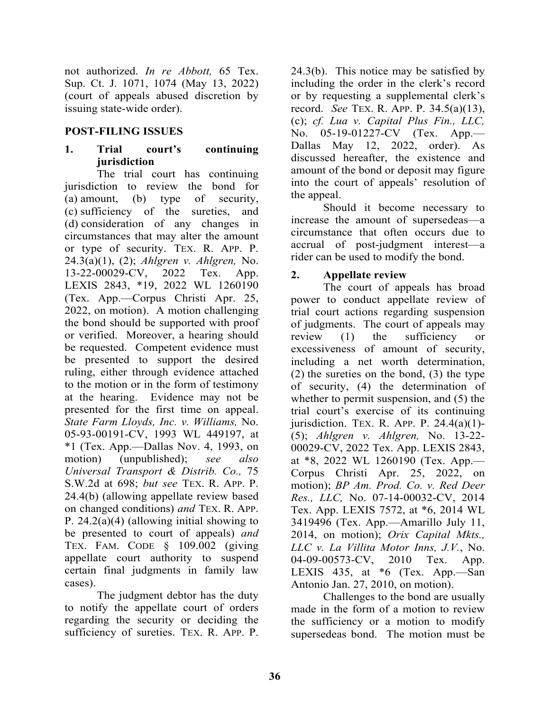not authorized. *In re Abbott,* 65 Tex. Sup. Ct. J. 1071, 1074 (May 13, 2022) (court of appeals abused discretion by issuing state-wide order).

#### **POST-FILING ISSUES**

# **1. Trial court's continuing jurisdiction**

 The trial court has continuing jurisdiction to review the bond for (a) amount, (b) type of security, (c) sufficiency of the sureties, and (d) consideration of any changes in circumstances that may alter the amount or type of security. TEX. R. APP. P. 24.3(a)(1), (2); *Ahlgren v. Ahlgren,* No. 13-22-00029-CV, 2022 Tex. App. LEXIS 2843, \*19, 2022 WL 1260190 (Tex. App.—Corpus Christi Apr. 25, 2022, on motion). A motion challenging the bond should be supported with proof or verified. Moreover, a hearing should be requested. Competent evidence must be presented to support the desired ruling, either through evidence attached to the motion or in the form of testimony at the hearing. Evidence may not be presented for the first time on appeal. *State Farm Lloyds, Inc. v. Williams,* No. 05-93-00191-CV, 1993 WL 449197, at  $*1$  (Tex. App.—Dallas Nov. 4, 1993, on motion) (unpublished); *see also Universal Transport & Distrib. Co.,* 75 S.W.2d at 698; *but see* TEX. R. APP. P. 24.4(b) (allowing appellate review based on changed conditions) *and* TEX. R. APP. P. 24.2(a)(4) (allowing initial showing to be presented to court of appeals) *and*  TEX. FAM. CODE § 109.002 (giving appellate court authority to suspend certain final judgments in family law cases).

 The judgment debtor has the duty to notify the appellate court of orders regarding the security or deciding the sufficiency of sureties. TEX. R. APP. P.

24.3(b). This notice may be satisfied by including the order in the clerk's record or by requesting a supplemental clerk's record. *See* TEX. R. APP. P. 34.5(a)(13), (c); *cf. Lua v. Capital Plus Fin., LLC,* No. 05-19-01227-CV (Tex. App.— Dallas May 12, 2022, order). As discussed hereafter, the existence and amount of the bond or deposit may figure into the court of appeals' resolution of the appeal.

 Should it become necessary to increase the amount of supersedeas—a circumstance that often occurs due to accrual of post-judgment interest—a rider can be used to modify the bond.

#### **2. Appellate review**

 The court of appeals has broad power to conduct appellate review of trial court actions regarding suspension of judgments. The court of appeals may review (1) the sufficiency or excessiveness of amount of security, including a net worth determination, (2) the sureties on the bond, (3) the type of security, (4) the determination of whether to permit suspension, and (5) the trial court's exercise of its continuing jurisdiction. TEX. R. APP. P.  $24.4(a)(1)$ -(5); *Ahlgren v. Ahlgren,* No. 13-22- 00029-CV, 2022 Tex. App. LEXIS 2843, at \*8, 2022 WL 1260190 (Tex. App.— Corpus Christi Apr. 25, 2022, on motion); *BP Am. Prod. Co. v. Red Deer Res., LLC,* No. 07-14-00032-CV, 2014 Tex. App. LEXIS 7572, at \*6, 2014 WL 3419496 (Tex. App.—Amarillo July 11, 2014, on motion); *Orix Capital Mkts., LLC v. La Villita Motor Inns, J.V.*, No. 04-09-00573-CV, 2010 Tex. App. LEXIS 435, at  $*6$  (Tex. App.—San Antonio Jan. 27, 2010, on motion).

 Challenges to the bond are usually made in the form of a motion to review the sufficiency or a motion to modify supersedeas bond. The motion must be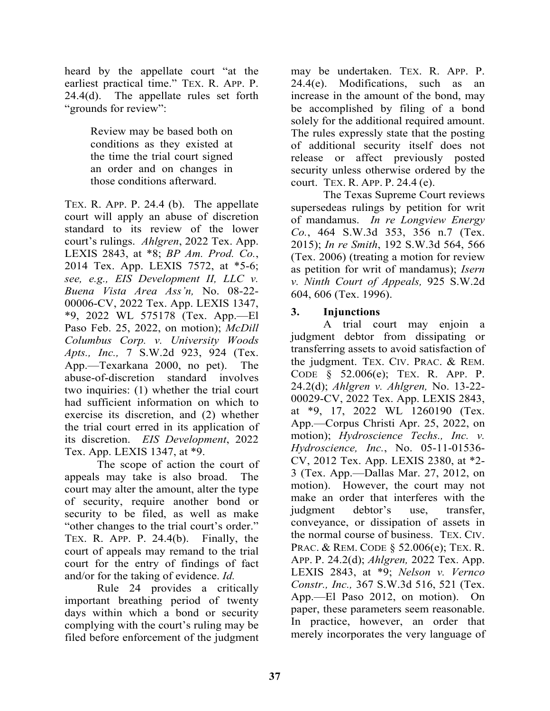heard by the appellate court "at the earliest practical time." TEX. R. APP. P.  $24.4(d)$ . The appellate rules set forth "grounds for review":

> Review may be based both on conditions as they existed at the time the trial court signed an order and on changes in those conditions afterward.

TEX. R. APP. P. 24.4 (b). The appellate court will apply an abuse of discretion standard to its review of the lower court's rulings. *Ahlgren*, 2022 Tex. App. LEXIS 2843, at \*8; *BP Am. Prod. Co.*, 2014 Tex. App. LEXIS 7572, at \*5-6; *see, e.g., EIS Development II, LLC v. Buena Vista Area Ass'n,* No. 08-22- 00006-CV, 2022 Tex. App. LEXIS 1347, \*9, 2022 WL 575178 (Tex. App.—El Paso Feb. 25, 2022, on motion); *McDill Columbus Corp. v. University Woods Apts., Inc.,* 7 S.W.2d 923, 924 (Tex. App.—Texarkana 2000, no pet). The abuse-of-discretion standard involves two inquiries: (1) whether the trial court had sufficient information on which to exercise its discretion, and (2) whether the trial court erred in its application of its discretion. *EIS Development*, 2022 Tex. App. LEXIS 1347, at \*9.

 The scope of action the court of appeals may take is also broad. The court may alter the amount, alter the type of security, require another bond or security to be filed, as well as make "other changes to the trial court's order." TEX. R. APP. P. 24.4(b). Finally, the court of appeals may remand to the trial court for the entry of findings of fact and/or for the taking of evidence. *Id.*

 Rule 24 provides a critically important breathing period of twenty days within which a bond or security complying with the court's ruling may be filed before enforcement of the judgment

may be undertaken. TEX. R. APP. P. 24.4(e). Modifications, such as an increase in the amount of the bond, may be accomplished by filing of a bond solely for the additional required amount. The rules expressly state that the posting of additional security itself does not release or affect previously posted security unless otherwise ordered by the court. TEX. R. APP. P. 24.4 (e).

 The Texas Supreme Court reviews supersedeas rulings by petition for writ of mandamus. *In re Longview Energy Co.*, 464 S.W.3d 353, 356 n.7 (Tex. 2015); *In re Smith*, 192 S.W.3d 564, 566 (Tex. 2006) (treating a motion for review as petition for writ of mandamus); *Isern v. Ninth Court of Appeals,* 925 S.W.2d 604, 606 (Tex. 1996).

# **3. Injunctions**

 A trial court may enjoin a judgment debtor from dissipating or transferring assets to avoid satisfaction of the judgment. TEX. CIV. PRAC. & REM. CODE § 52.006(e); TEX. R. APP. P. 24.2(d); *Ahlgren v. Ahlgren,* No. 13-22- 00029-CV, 2022 Tex. App. LEXIS 2843, at \*9, 17, 2022 WL 1260190 (Tex. App.—Corpus Christi Apr. 25, 2022, on motion); *Hydroscience Techs., Inc. v. Hydroscience, Inc.*, No. 05-11-01536- CV, 2012 Tex. App. LEXIS 2380, at \*2- 3 (Tex. App.—Dallas Mar. 27, 2012, on motion). However, the court may not make an order that interferes with the judgment debtor's use, transfer, conveyance, or dissipation of assets in the normal course of business. TEX. CIV. PRAC. & REM. CODE § 52.006(e); TEX. R. APP. P. 24.2(d); *Ahlgren,* 2022 Tex. App. LEXIS 2843, at \*9; *Nelson v. Vernco Constr., Inc.,* 367 S.W.3d 516, 521 (Tex. App.—El Paso 2012, on motion). On paper, these parameters seem reasonable. In practice, however, an order that merely incorporates the very language of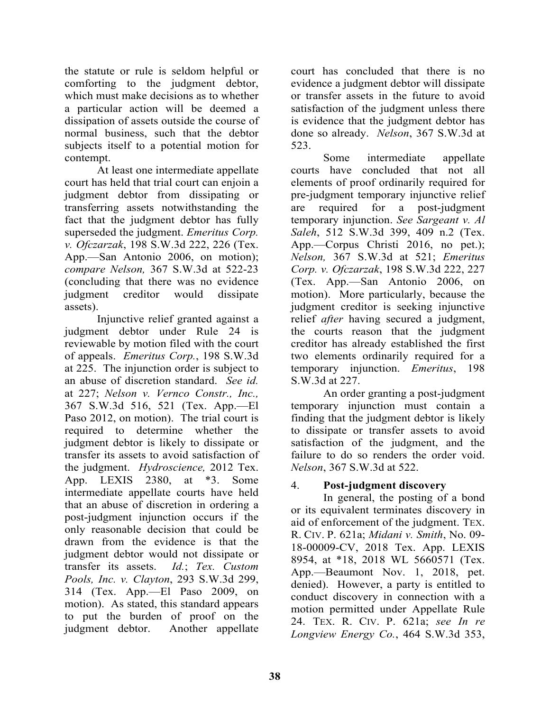the statute or rule is seldom helpful or comforting to the judgment debtor, which must make decisions as to whether a particular action will be deemed a dissipation of assets outside the course of normal business, such that the debtor subjects itself to a potential motion for contempt.

 At least one intermediate appellate court has held that trial court can enjoin a judgment debtor from dissipating or transferring assets notwithstanding the fact that the judgment debtor has fully superseded the judgment. *Emeritus Corp. v. Ofczarzak*, 198 S.W.3d 222, 226 (Tex. App.—San Antonio 2006, on motion); *compare Nelson,* 367 S.W.3d at 522-23 (concluding that there was no evidence judgment creditor would dissipate assets).

 Injunctive relief granted against a judgment debtor under Rule 24 is reviewable by motion filed with the court of appeals. *Emeritus Corp.*, 198 S.W.3d at 225. The injunction order is subject to an abuse of discretion standard. *See id.*  at 227; *Nelson v. Vernco Constr., Inc.,*  367 S.W.3d 516, 521 (Tex. App.—El Paso 2012, on motion). The trial court is required to determine whether the judgment debtor is likely to dissipate or transfer its assets to avoid satisfaction of the judgment. *Hydroscience,* 2012 Tex. App. LEXIS 2380, at \*3. Some intermediate appellate courts have held that an abuse of discretion in ordering a post-judgment injunction occurs if the only reasonable decision that could be drawn from the evidence is that the judgment debtor would not dissipate or transfer its assets. *Id.*; *Tex. Custom Pools, Inc. v. Clayton*, 293 S.W.3d 299, 314 (Tex. App.—El Paso 2009, on motion). As stated, this standard appears to put the burden of proof on the judgment debtor. Another appellate

court has concluded that there is no evidence a judgment debtor will dissipate or transfer assets in the future to avoid satisfaction of the judgment unless there is evidence that the judgment debtor has done so already. *Nelson*, 367 S.W.3d at 523.

 Some intermediate appellate courts have concluded that not all elements of proof ordinarily required for pre-judgment temporary injunctive relief are required for a post-judgment temporary injunction. *See Sargeant v. Al Saleh*, 512 S.W.3d 399, 409 n.2 (Tex. App.—Corpus Christi 2016, no pet.); *Nelson,* 367 S.W.3d at 521; *Emeritus Corp. v. Ofczarzak*, 198 S.W.3d 222, 227 (Tex. App.—San Antonio 2006, on motion). More particularly, because the judgment creditor is seeking injunctive relief *after* having secured a judgment, the courts reason that the judgment creditor has already established the first two elements ordinarily required for a temporary injunction. *Emeritus*, 198 S.W.3d at 227.

 An order granting a post-judgment temporary injunction must contain a finding that the judgment debtor is likely to dissipate or transfer assets to avoid satisfaction of the judgment, and the failure to do so renders the order void. *Nelson*, 367 S.W.3d at 522.

# 4. **Post-judgment discovery**

 In general, the posting of a bond or its equivalent terminates discovery in aid of enforcement of the judgment. TEX. R. CIV. P. 621a; *Midani v. Smith*, No. 09- 18-00009-CV, 2018 Tex. App. LEXIS 8954, at \*18, 2018 WL 5660571 (Tex. App.—Beaumont Nov. 1, 2018, pet. denied). However, a party is entitled to conduct discovery in connection with a motion permitted under Appellate Rule 24. TEX. R. CIV. P. 621a; *see In re Longview Energy Co.*, 464 S.W.3d 353,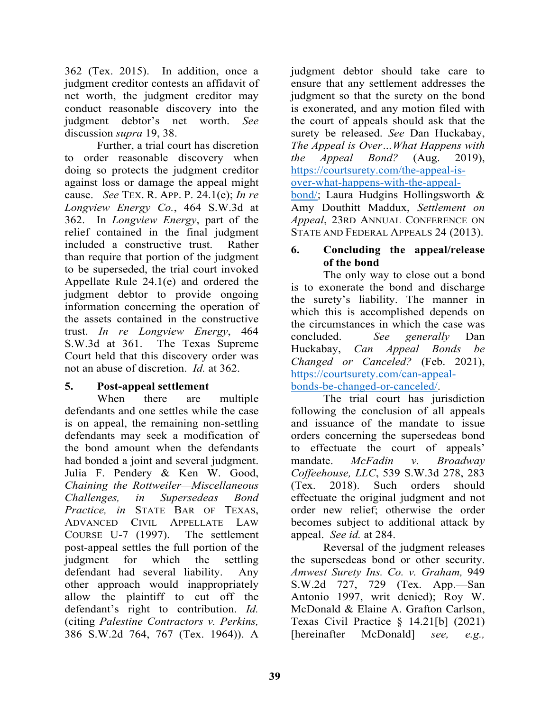362 (Tex. 2015). In addition, once a judgment creditor contests an affidavit of net worth, the judgment creditor may conduct reasonable discovery into the judgment debtor's net worth. *See*  discussion *supra* 19, 38.

 Further, a trial court has discretion to order reasonable discovery when doing so protects the judgment creditor against loss or damage the appeal might cause. *See* TEX. R. APP. P. 24.1(e); *In re Longview Energy Co.*, 464 S.W.3d at 362. In *Longview Energy*, part of the relief contained in the final judgment included a constructive trust. Rather than require that portion of the judgment to be superseded, the trial court invoked Appellate Rule 24.1(e) and ordered the judgment debtor to provide ongoing information concerning the operation of the assets contained in the constructive trust. *In re Longview Energy*, 464 S.W.3d at 361. The Texas Supreme Court held that this discovery order was not an abuse of discretion. *Id.* at 362.

#### **5. Post-appeal settlement**

 When there are multiple defendants and one settles while the case is on appeal, the remaining non-settling defendants may seek a modification of the bond amount when the defendants had bonded a joint and several judgment. Julia F. Pendery & Ken W. Good, *Chaining the Rottweiler—Miscellaneous Challenges, in Supersedeas Bond Practice, in* STATE BAR OF TEXAS, ADVANCED CIVIL APPELLATE LAW COURSE U-7 (1997). The settlement post-appeal settles the full portion of the judgment for which the settling defendant had several liability. Any other approach would inappropriately allow the plaintiff to cut off the defendant's right to contribution. *Id.* (citing *Palestine Contractors v. Perkins,*  386 S.W.2d 764, 767 (Tex. 1964)). A

judgment debtor should take care to ensure that any settlement addresses the judgment so that the surety on the bond is exonerated, and any motion filed with the court of appeals should ask that the surety be released. *See* Dan Huckabay, *The Appeal is Over…What Happens with the Appeal Bond?* (Aug. 2019), https://courtsurety.com/the-appeal-isover-what-happens-with-the-appeal-

bond/; Laura Hudgins Hollingsworth & Amy Douthitt Maddux, *Settlement on Appeal*, 23RD ANNUAL CONFERENCE ON STATE AND FEDERAL APPEALS 24 (2013).

# **6. Concluding the appeal/release of the bond**

The only way to close out a bond is to exonerate the bond and discharge the surety's liability. The manner in which this is accomplished depends on the circumstances in which the case was concluded. *See generally* Dan Huckabay, *Can Appeal Bonds be Changed or Canceled?* (Feb. 2021), https://courtsurety.com/can-appealbonds-be-changed-or-canceled/.

The trial court has jurisdiction following the conclusion of all appeals and issuance of the mandate to issue orders concerning the supersedeas bond to effectuate the court of appeals' mandate. *McFadin v. Broadway Coffeehouse, LLC*, 539 S.W.3d 278, 283 (Tex. 2018). Such orders should effectuate the original judgment and not order new relief; otherwise the order becomes subject to additional attack by appeal. *See id.* at 284.

 Reversal of the judgment releases the supersedeas bond or other security. *Amwest Surety Ins. Co. v. Graham,* 949 S.W.2d 727, 729 (Tex. App.—San Antonio 1997, writ denied); Roy W. McDonald & Elaine A. Grafton Carlson, Texas Civil Practice § 14.21[b] (2021) [hereinafter McDonald] *see, e.g.,*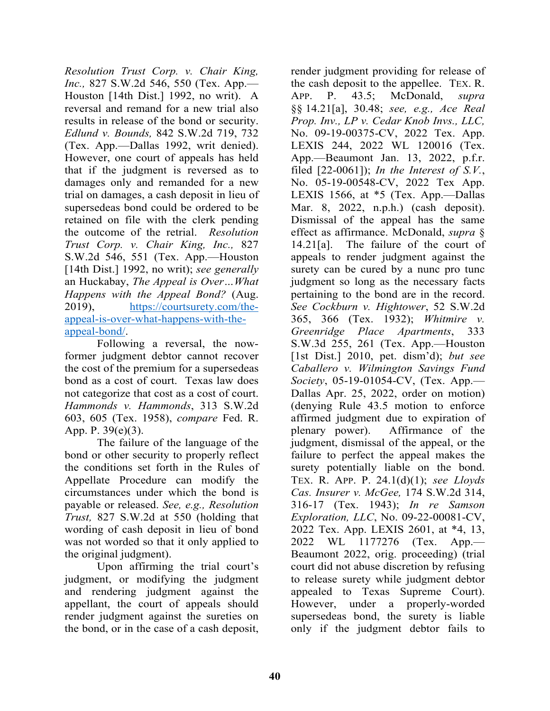*Resolution Trust Corp. v. Chair King, Inc.,* 827 S.W.2d 546, 550 (Tex. App.— Houston [14th Dist.] 1992, no writ). A reversal and remand for a new trial also results in release of the bond or security. *Edlund v. Bounds,* 842 S.W.2d 719, 732 (Tex. App.—Dallas 1992, writ denied). However, one court of appeals has held that if the judgment is reversed as to damages only and remanded for a new trial on damages, a cash deposit in lieu of supersedeas bond could be ordered to be retained on file with the clerk pending the outcome of the retrial. *Resolution Trust Corp. v. Chair King, Inc.,* 827 S.W.2d 546, 551 (Tex. App.—Houston [14th Dist.] 1992, no writ); *see generally*  an Huckabay, *The Appeal is Over…What Happens with the Appeal Bond?* (Aug. 2019), https://courtsurety.com/theappeal-is-over-what-happens-with-theappeal-bond/.

Following a reversal, the nowformer judgment debtor cannot recover the cost of the premium for a supersedeas bond as a cost of court. Texas law does not categorize that cost as a cost of court. *Hammonds v. Hammonds*, 313 S.W.2d 603, 605 (Tex. 1958), *compare* Fed. R. App. P. 39(e)(3).

 The failure of the language of the bond or other security to properly reflect the conditions set forth in the Rules of Appellate Procedure can modify the circumstances under which the bond is payable or released. *See, e.g., Resolution Trust,* 827 S.W.2d at 550 (holding that wording of cash deposit in lieu of bond was not worded so that it only applied to the original judgment).

 Upon affirming the trial court's judgment, or modifying the judgment and rendering judgment against the appellant, the court of appeals should render judgment against the sureties on the bond, or in the case of a cash deposit,

render judgment providing for release of the cash deposit to the appellee. TEX. R. APP. P. 43.5; McDonald, *supra*  §§ 14.21[a], 30.48; *see, e.g., Ace Real Prop. Inv., LP v. Cedar Knob Invs., LLC,*  No. 09-19-00375-CV, 2022 Tex. App. LEXIS 244, 2022 WL 120016 (Tex. App.—Beaumont Jan. 13, 2022, p.f.r. filed [22-0061]); *In the Interest of S.V.*, No. 05-19-00548-CV, 2022 Tex App. LEXIS 1566, at \*5 (Tex. App.—Dallas Mar. 8, 2022, n.p.h.) (cash deposit). Dismissal of the appeal has the same effect as affirmance. McDonald, *supra* § 14.21[a]. The failure of the court of appeals to render judgment against the surety can be cured by a nunc pro tunc judgment so long as the necessary facts pertaining to the bond are in the record. *See Cockburn v. Hightower*, 52 S.W.2d 365, 366 (Tex. 1932); *Whitmire v. Greenridge Place Apartments*, 333 S.W.3d 255, 261 (Tex. App.—Houston [1st Dist.] 2010, pet. dism'd); *but see Caballero v. Wilmington Savings Fund Society*, 05-19-01054-CV, (Tex. App.— Dallas Apr. 25, 2022, order on motion) (denying Rule 43.5 motion to enforce affirmed judgment due to expiration of plenary power). Affirmance of the judgment, dismissal of the appeal, or the failure to perfect the appeal makes the surety potentially liable on the bond. TEX. R. APP. P. 24.1(d)(1); *see Lloyds Cas. Insurer v. McGee,* 174 S.W.2d 314, 316-17 (Tex. 1943); *In re Samson Exploration, LLC*, No. 09-22-00081-CV, 2022 Tex. App. LEXIS 2601, at \*4, 13, 2022 WL 1177276 (Tex. App.— Beaumont 2022, orig. proceeding) (trial court did not abuse discretion by refusing to release surety while judgment debtor appealed to Texas Supreme Court). However, under a properly-worded supersedeas bond, the surety is liable only if the judgment debtor fails to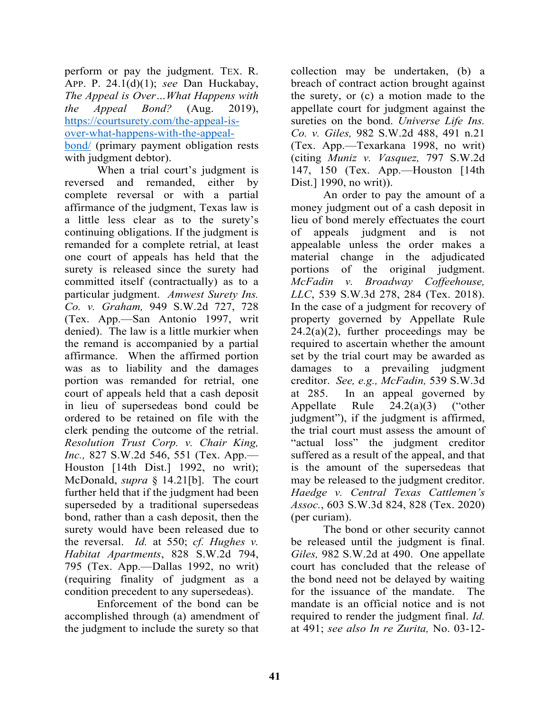perform or pay the judgment. TEX. R. APP. P. 24.1(d)(1); *see* Dan Huckabay, *The Appeal is Over…What Happens with the Appeal Bond?* (Aug. 2019), https://courtsurety.com/the-appeal-isover-what-happens-with-the-appealbond/ (primary payment obligation rests with judgment debtor).

 When a trial court's judgment is reversed and remanded, either by complete reversal or with a partial affirmance of the judgment, Texas law is a little less clear as to the surety's continuing obligations. If the judgment is remanded for a complete retrial, at least one court of appeals has held that the surety is released since the surety had committed itself (contractually) as to a particular judgment. *Amwest Surety Ins. Co. v. Graham,* 949 S.W.2d 727, 728 (Tex. App.—San Antonio 1997, writ denied). The law is a little murkier when the remand is accompanied by a partial affirmance. When the affirmed portion was as to liability and the damages portion was remanded for retrial, one court of appeals held that a cash deposit in lieu of supersedeas bond could be ordered to be retained on file with the clerk pending the outcome of the retrial. *Resolution Trust Corp. v. Chair King, Inc.,* 827 S.W.2d 546, 551 (Tex. App.— Houston [14th Dist.] 1992, no writ); McDonald, *supra* § 14.21[b]. The court further held that if the judgment had been superseded by a traditional supersedeas bond, rather than a cash deposit, then the surety would have been released due to the reversal. *Id.* at 550; *cf. Hughes v. Habitat Apartments*, 828 S.W.2d 794, 795 (Tex. App.—Dallas 1992, no writ) (requiring finality of judgment as a condition precedent to any supersedeas).

 Enforcement of the bond can be accomplished through (a) amendment of the judgment to include the surety so that

collection may be undertaken, (b) a breach of contract action brought against the surety, or (c) a motion made to the appellate court for judgment against the sureties on the bond. *Universe Life Ins. Co. v. Giles,* 982 S.W.2d 488, 491 n.21 (Tex. App.—Texarkana 1998, no writ) (citing *Muniz v. Vasquez,* 797 S.W.2d 147, 150 (Tex. App.—Houston [14th Dist.] 1990, no writ)).

 An order to pay the amount of a money judgment out of a cash deposit in lieu of bond merely effectuates the court of appeals judgment and is not appealable unless the order makes a material change in the adjudicated portions of the original judgment. *McFadin v. Broadway Coffeehouse, LLC*, 539 S.W.3d 278, 284 (Tex. 2018). In the case of a judgment for recovery of property governed by Appellate Rule  $24.2(a)(2)$ , further proceedings may be required to ascertain whether the amount set by the trial court may be awarded as damages to a prevailing judgment creditor. *See, e.g., McFadin,* 539 S.W.3d at 285. In an appeal governed by Appellate Rule 24.2(a)(3) ("other judgment"), if the judgment is affirmed, the trial court must assess the amount of "actual loss" the judgment creditor suffered as a result of the appeal, and that is the amount of the supersedeas that may be released to the judgment creditor. *Haedge v. Central Texas Cattlemen's Assoc.*, 603 S.W.3d 824, 828 (Tex. 2020) (per curiam).

 The bond or other security cannot be released until the judgment is final. *Giles,* 982 S.W.2d at 490. One appellate court has concluded that the release of the bond need not be delayed by waiting for the issuance of the mandate. The mandate is an official notice and is not required to render the judgment final. *Id.*  at 491; *see also In re Zurita,* No. 03-12